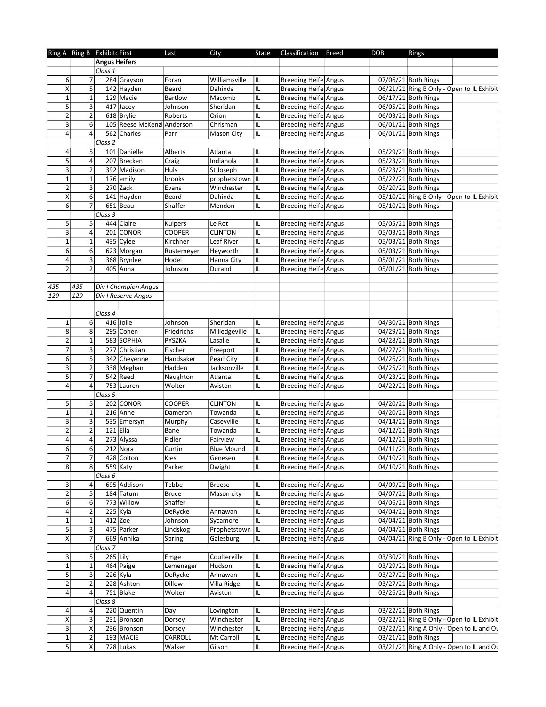|                         |                         | Ring A Ring B Exhibitc First |                            | Last           | City              | State | Classification               | Breed | <b>DOB</b> | Rings                                     |  |
|-------------------------|-------------------------|------------------------------|----------------------------|----------------|-------------------|-------|------------------------------|-------|------------|-------------------------------------------|--|
|                         |                         | <b>Angus Heifers</b>         |                            |                |                   |       |                              |       |            |                                           |  |
|                         |                         | Class 1                      |                            |                |                   |       |                              |       |            |                                           |  |
| 6                       | $\overline{7}$          |                              | 284 Grayson                | Foran          | Williamsville     | IL    | <b>Breeding Heife Angus</b>  |       |            | 07/06/21 Both Rings                       |  |
| $\pmb{\mathsf{X}}$      | 5                       |                              | 142 Hayden                 | Beard          | Dahinda           | IL    | <b>Breeding Heife Angus</b>  |       |            | 06/21/21 Ring B Only - Open to IL Exhibit |  |
| $\mathbf 1$             | $\mathbf 1$             |                              | 129 Macie                  | <b>Bartlow</b> | Macomb            | IL    | <b>Breeding Heife Angus</b>  |       |            | 06/17/21 Both Rings                       |  |
| $\overline{5}$          | $\overline{3}$          |                              | 417 Jacey                  | Johnson        | Sheridan          | IL    | <b>Breeding Heife Angus</b>  |       |            | 06/05/21 Both Rings                       |  |
| $\overline{2}$          | $\overline{2}$          |                              | 618 Brylie                 | Roberts        | Orion             | IL    | Breeding Heife Angus         |       |            | 06/03/21 Both Rings                       |  |
| 3                       | 6                       |                              | 105 Reese McKenzi Anderson |                | Chrisman          | IL    | <b>Breeding Heifel Angus</b> |       |            | 06/01/21 Both Rings                       |  |
| 4                       | 4                       |                              | 562 Charles                | Parr           | Mason City        | IL    | <b>Breeding Heife Angus</b>  |       |            | 06/01/21 Both Rings                       |  |
|                         |                         | Class 2                      |                            |                |                   |       |                              |       |            |                                           |  |
| 4                       | 5                       |                              | 101 Danielle               | Alberts        | Atlanta           | IL    | <b>Breeding Heife Angus</b>  |       |            | 05/29/21 Both Rings                       |  |
| 5                       | $\pmb{4}$               |                              | 207 Brecken                | Craig          | Indianola         | IL    | <b>Breeding Heife Angus</b>  |       |            | 05/23/21 Both Rings                       |  |
| 3                       | $\overline{2}$          |                              | 392 Madison                | Huls           | St Joseph         | IL    | <b>Breeding Heife Angus</b>  |       |            | 05/23/21 Both Rings                       |  |
| $\mathbf{1}$            | $\mathbf 1$             |                              | $\overline{17}6$ emily     | brooks         | prophetstown      | IIL.  | <b>Breeding Heifel Angus</b> |       |            | 05/22/21 Both Rings                       |  |
| 2                       | 3                       |                              | $270$ Zack                 | Evans          | Winchester        | IL    | Breeding Heife Angus         |       |            | 05/20/21 Both Rings                       |  |
| Χ                       | $\overline{6}$          |                              | 141 Hayden                 | Beard          | Dahinda           | IL    | <b>Breeding Heife Angus</b>  |       |            | 05/10/21 Ring B Only - Open to IL Exhibit |  |
|                         | $\overline{7}$          |                              |                            |                |                   |       |                              |       |            |                                           |  |
| $6 \mid$                |                         |                              | $651$ Beau                 | Shaffer        | Mendon            | IL    | <b>Breeding Heife Angus</b>  |       |            | 05/10/21 Both Rings                       |  |
|                         |                         | Class 3                      |                            |                |                   |       |                              |       |            |                                           |  |
| 5 <sup>1</sup>          | 5                       |                              | 444 Claire                 | Kuipers        | Le Rot            | IL    | Breeding Heife Angus         |       |            | 05/05/21 Both Rings                       |  |
| 3                       | $\sqrt{4}$              |                              | 201 CONOR                  | <b>COOPER</b>  | <b>CLINTON</b>    | IL    | <b>Breeding Heife Angus</b>  |       |            | 05/03/21 Both Rings                       |  |
| $\mathbf 1$             | $\mathbf 1$             |                              | 435 Cylee                  | Kirchner       | Leaf River        | IL    | Breeding Heife Angus         |       |            | 05/03/21 Both Rings                       |  |
| 6                       | 6                       |                              | 623 Morgan                 | Rustemeyer     | Heyworth          | IL    | Breeding Heife Angus         |       |            | 05/03/21 Both Rings                       |  |
| 4                       | 3                       |                              | 368 Brynlee                | Hodel          | Hanna City        | IL    | Breeding Heife Angus         |       |            | 05/01/21 Both Rings                       |  |
| $\overline{2}$          | $\overline{2}$          |                              | 405 Anna                   | Johnson        | Durand            | IL    | <b>Breeding Heife Angus</b>  |       |            | 05/01/21 Both Rings                       |  |
|                         |                         |                              |                            |                |                   |       |                              |       |            |                                           |  |
| 435                     | 435                     |                              | Div I Champion Angus       |                |                   |       |                              |       |            |                                           |  |
| 129                     | 129                     |                              | Div I Reserve Angus        |                |                   |       |                              |       |            |                                           |  |
|                         |                         |                              |                            |                |                   |       |                              |       |            |                                           |  |
|                         |                         | Class 4                      |                            |                |                   |       |                              |       |            |                                           |  |
| $\mathbf 1$             | 6                       |                              | 416 Jolie                  | Johnson        | Sheridan          | IL    | <b>Breeding Heife Angus</b>  |       |            | 04/30/21 Both Rings                       |  |
| $\overline{8}$          | 8                       |                              | 295 Cohen                  |                |                   |       |                              |       |            | 04/29/21 Both Rings                       |  |
|                         |                         |                              |                            | Friedrichs     | Milledgeville     | IL    | <b>Breeding Heife Angus</b>  |       |            |                                           |  |
| $\overline{2}$          | $\mathbf 1$             |                              | 583 SOPHIA                 | PYSZKA         | Lasalle           | IL    | Breeding Heife Angus         |       |            | 04/28/21 Both Rings                       |  |
| 7                       | 3                       |                              | 277 Christian              | Fischer        | Freeport          | IL    | <b>Breeding Heife Angus</b>  |       |            | 04/27/21 Both Rings                       |  |
| 6                       | $\overline{5}$          |                              | 342 Cheyenne               | Handsaker      | Pearl City        | IL    | <b>Breeding Heife Angus</b>  |       |            | 04/26/21 Both Rings                       |  |
| $\overline{\mathbf{3}}$ | $\mathbf 2$             |                              | 338 Meghan                 | Hadden         | Jacksonville      | IL    | <b>Breeding Heife Angus</b>  |       |            | 04/25/21 Both Rings                       |  |
| 5                       | $\overline{7}$          |                              | $542$ Reed                 | Naughton       | Atlanta           | IL    | <b>Breeding Heife Angus</b>  |       |            | 04/23/21 Both Rings                       |  |
| 4                       | 4                       |                              | 753 Lauren                 | Wolter         | Aviston           | IL    | <b>Breeding Heife Angus</b>  |       |            | 04/22/21 Both Rings                       |  |
|                         |                         | Class 5                      |                            |                |                   |       |                              |       |            |                                           |  |
| 5                       | 5                       |                              | 202 CONOR                  | <b>COOPER</b>  | <b>CLINTON</b>    | IL    | Breeding Heife Angus         |       |            | 04/20/21 Both Rings                       |  |
| $\mathbf 1$             | $\mathbf 1$             |                              | $216$ Anne                 | Dameron        | Towanda           | IL    | Breeding Heife Angus         |       |            | 04/20/21 Both Rings                       |  |
| 3                       | 3                       |                              | 535 Emersyn                | Murphy         | Caseyville        | IL    | <b>Breeding Heife Angus</b>  |       |            | 04/14/21 Both Rings                       |  |
| $\overline{\mathbf{c}}$ | $\overline{2}$          | 121 Ella                     |                            | Bane           | Towanda           | IL    | Breeding Heife Angus         |       |            | 04/12/21 Both Rings                       |  |
| $\overline{4}$          | $\vert 4 \vert$         |                              | 273 Alyssa                 | Fidler         | Fairview          | IL    | <b>Breeding Heife Angus</b>  |       |            | 04/12/21 Both Rings                       |  |
|                         |                         |                              |                            |                |                   |       |                              |       |            | 04/11/21 Both Rings                       |  |
| $6 \mid$                | 6                       |                              | $212$ Nora                 | Curtin         | <b>Blue Mound</b> | IL    | Breeding Heife Angus         |       |            |                                           |  |
| 7                       | $\overline{7}$          |                              | 428 Colton                 | Kies           | Geneseo           | IL    | <b>Breeding Heife Angus</b>  |       |            | 04/10/21 Both Rings                       |  |
| 8                       | 8 <sup>2</sup>          |                              | $559$ Katy                 | Parker         | Dwight            | IL    | <b>Breeding Heife Angus</b>  |       |            | 04/10/21 Both Rings                       |  |
|                         |                         | Class 6                      |                            |                |                   |       |                              |       |            |                                           |  |
| 3                       | 4                       |                              | 695 Addison                | Tebbe          | <b>Breese</b>     | IL    | <b>Breeding Heife Angus</b>  |       |            | 04/09/21 Both Rings                       |  |
| $\overline{2}$          | $\overline{5}$          |                              | 184 Tatum                  | Bruce          | Mason city        | IL    | Breeding Heife Angus         |       |            | 04/07/21 Both Rings                       |  |
| 6                       | 6                       |                              | 773 Willow                 | Shaffer        |                   | IL    | <b>Breeding Heife Angus</b>  |       |            | 04/06/21 Both Rings                       |  |
| 4                       | $\overline{2}$          | $225$ Kyla                   |                            | DeRycke        | Annawan           | IL    | Breeding Heife Angus         |       |            | 04/04/21 Both Rings                       |  |
| $\mathbf 1$             | $\mathbf 1$             | $412$ Zoe                    |                            | Johnson        | Sycamore          | IL    | Breeding Heife Angus         |       |            | 04/04/21 Both Rings                       |  |
| $\overline{5}$          | $\overline{\mathbf{3}}$ |                              | 475 Parker                 | Lindskog       | Prophetstown  IL  |       | <b>Breeding Heife Angus</b>  |       |            | 04/04/21 Both Rings                       |  |
| $\pmb{\mathsf{X}}$      | $\overline{7}$          |                              | 669 Annika                 | Spring         | Galesburg         | IL    | <b>Breeding Heife Angus</b>  |       |            | 04/04/21 Ring B Only - Open to IL Exhibit |  |
|                         |                         | Class 7                      |                            |                |                   |       |                              |       |            |                                           |  |
| 3                       | 5                       | $265$ Lily                   |                            |                | Coulterville      | IL    | Breeding Heife Angus         |       |            | 03/30/21 Both Rings                       |  |
|                         |                         |                              |                            | Emge           |                   |       |                              |       |            |                                           |  |
| $\mathbf 1$             | $\mathbf 1$             |                              | 464 Paige                  | Lemenager      | Hudson            | IL    | <b>Breeding Heife Angus</b>  |       |            | 03/29/21 Both Rings                       |  |
| 5 <sup>1</sup>          | 3                       | $226$ Kyla                   |                            | DeRycke        | Annawan           | IL    | <b>Breeding Heife Angus</b>  |       |            | 03/27/21 Both Rings                       |  |
| $\overline{2}$          | $\overline{2}$          |                              | 228 Ashton                 | Dillow         | Villa Ridge       | IL    | Breeding Heife Angus         |       |            | 03/27/21 Both Rings                       |  |
| $\vert 4 \vert$         | $\vert 4 \vert$         |                              | $\overline{751}$ Blake     | Wolter         | Aviston           | IL    | <b>Breeding Heifel Angus</b> |       |            | 03/26/21 Both Rings                       |  |
|                         |                         | Class 8                      |                            |                |                   |       |                              |       |            |                                           |  |
| 4                       | 4                       |                              | 220 Quentin                | Day            | Lovington         | IL    | <b>Breeding Heife Angus</b>  |       |            | 03/22/21 Both Rings                       |  |
| X                       | 3                       |                              | 231 Bronson                | Dorsey         | Winchester        | IL    | <b>Breeding Heife Angus</b>  |       |            | 03/22/21 Ring B Only - Open to IL Exhibit |  |
| 3                       | X                       |                              | 236 Bronson                | Dorsey         | Winchester        | IL    | <b>Breeding Heifel Angus</b> |       |            | 03/22/21 Ring A Only - Open to IL and Or  |  |
| $\mathbf 1$             | $\overline{2}$          |                              | 193 MACIE                  | <b>CARROLL</b> | Mt Carroll        | IL.   | Breeding Heife Angus         |       |            | 03/21/21 Both Rings                       |  |
| 5 <sup>1</sup>          | Χ                       |                              | $\overline{728}$ Lukas     | Walker         | Gilson            | IL    | <b>Breeding Heife Angus</b>  |       |            | 03/21/21 Ring A Only - Open to IL and Or  |  |
|                         |                         |                              |                            |                |                   |       |                              |       |            |                                           |  |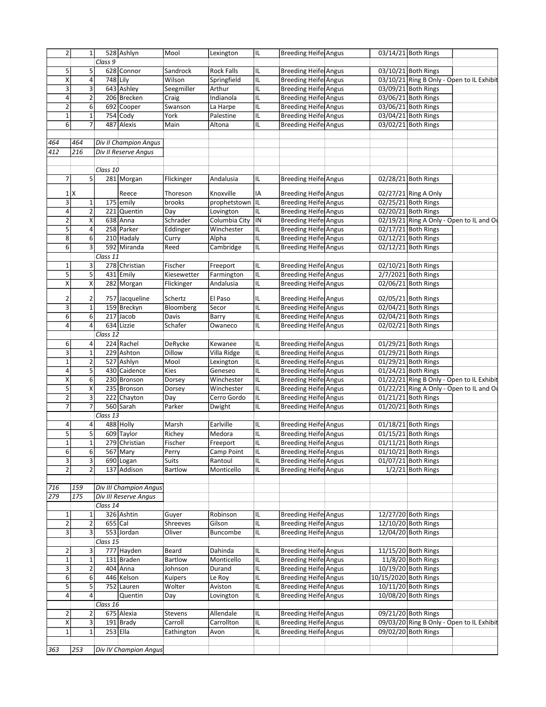| 2                       | $\mathbf{1}$            |          | 528 Ashlyn             | Mool           | Lexington         | IIL. | <b>Breeding Heife Angus</b>  |                       | 03/14/21 Both Rings                       |  |
|-------------------------|-------------------------|----------|------------------------|----------------|-------------------|------|------------------------------|-----------------------|-------------------------------------------|--|
|                         |                         | Class 9  |                        |                |                   |      |                              |                       |                                           |  |
| 5                       | 5                       |          | 628 Connor             | Sandrock       | <b>Rock Falls</b> | IL   | <b>Breeding Heifel Angus</b> |                       | 03/10/21 Both Rings                       |  |
| $\overline{\mathsf{x}}$ | $\pmb{4}$               |          | 748 Lily               | Wilson         | Springfield       | IL   | <b>Breeding Heife Angus</b>  |                       | 03/10/21 Ring B Only - Open to IL Exhibit |  |
| 3                       | 3                       |          | 643 Ashley             | Seegmiller     | Arthur            | IL   | Breeding Heife Angus         |                       | 03/09/21 Both Rings                       |  |
|                         |                         |          |                        |                |                   |      |                              |                       | 03/06/21 Both Rings                       |  |
| 4                       | $\overline{\mathbf{c}}$ |          | 206 Brecken            | Craig          | Indianola         | IL   | <b>Breeding Heife Angus</b>  |                       |                                           |  |
| $\overline{\mathbf{c}}$ | $\overline{6}$          |          | 692 Cooper             | Swanson        | La Harpe          | IL   | <b>Breeding Heife Angus</b>  |                       | 03/06/21 Both Rings                       |  |
| $\mathbf 1$             | $\mathbf 1$             |          | $754$ Cody             | York           | Palestine         | IL   | <b>Breeding Heife Angus</b>  |                       | 03/04/21 Both Rings                       |  |
| 6                       | $\overline{7}$          |          | 487 Alexis             | Main           | Altona            | IL   | <b>Breeding Heifel Angus</b> |                       | 03/02/21 Both Rings                       |  |
|                         |                         |          |                        |                |                   |      |                              |                       |                                           |  |
| 464                     | 464                     |          | Div II Champion Angus  |                |                   |      |                              |                       |                                           |  |
| 412                     | 216                     |          | Div II Reserve Angus   |                |                   |      |                              |                       |                                           |  |
|                         |                         |          |                        |                |                   |      |                              |                       |                                           |  |
|                         |                         |          |                        |                |                   |      |                              |                       |                                           |  |
|                         |                         | Class 10 |                        |                |                   |      |                              |                       |                                           |  |
| 7                       | 5                       |          | 281 Morgan             | Flickinger     | Andalusia         | IL   | <b>Breeding Heife Angus</b>  |                       | 02/28/21 Both Rings                       |  |
|                         |                         |          |                        |                |                   |      |                              |                       |                                           |  |
|                         | $1$ $X$                 |          | Reece                  | Thoreson       | Knoxville         | IA   | Breeding Heife Angus         |                       | 02/27/21 Ring A Only                      |  |
| 3                       | $\mathbf 1$             |          | 175 emily              | brooks         | prophetstown  IL  |      | <b>Breeding Heife Angus</b>  |                       | 02/25/21 Both Rings                       |  |
| 4                       | $\mathbf 2$             |          | 221 Quentin            | Day            | Lovington         | IL   | <b>Breeding Heife Angus</b>  |                       | 02/20/21 Both Rings                       |  |
| $\overline{\mathbf{c}}$ | X                       |          | 638 Anna               | Schrader       | Columbia City  IN |      | <b>Breeding Heife Angus</b>  |                       | 02/19/21 Ring A Only - Open to IL and Or  |  |
| $\overline{5}$          | $\pmb{4}$               |          | 258 Parker             | Eddinger       | Winchester        | IL   | <b>Breeding Heife Angus</b>  |                       | 02/17/21 Both Rings                       |  |
|                         |                         |          |                        |                |                   |      |                              |                       |                                           |  |
| 8                       | 6                       |          | 210 Hadaly             | Curry          | Alpha             | IL   | <b>Breeding Heife Angus</b>  |                       | 02/12/21 Both Rings                       |  |
| 6                       | 3                       |          | 592 Miranda            | Reed           | Cambridge         | IL   | <b>Breeding Heifel Angus</b> |                       | $02/12/21$ Both Rings                     |  |
|                         |                         | Class 11 |                        |                |                   |      |                              |                       |                                           |  |
| $\mathbf 1$             | 3                       |          | 278 Christian          | Fischer        | Freeport          | IIL  | <b>Breeding Heife Angus</b>  |                       | 02/10/21 Both Rings                       |  |
| 5                       | $\mathsf S$             |          | 431 Emily              | Kiesewetter    | Farmington        | IL   | <b>Breeding Heife Angus</b>  |                       | 2/7/2021 Both Rings                       |  |
| $\overline{\mathsf{x}}$ | $\overline{\mathsf{x}}$ |          | 282 Morgan             | Flickinger     | Andalusia         | IL   | <b>Breeding Heife Angus</b>  |                       | 02/06/21 Both Rings                       |  |
|                         |                         |          |                        |                |                   |      |                              |                       |                                           |  |
| 2                       | $\overline{2}$          |          | 757 Jacqueline         | Schertz        | El Paso           | IL   | <b>Breeding Heife Angus</b>  |                       | 02/05/21 Both Rings                       |  |
| 3                       | $\mathbf 1$             |          | 159 Breckyn            | Bloomberg      | Secor             | IL   | <b>Breeding Heife Angus</b>  |                       | 02/04/21 Both Rings                       |  |
|                         |                         |          |                        |                |                   |      |                              |                       |                                           |  |
| 6                       | 6                       |          | 217 Jacob              | Davis          | Barry             | IL   | <b>Breeding Heife Angus</b>  |                       | 02/04/21 Both Rings                       |  |
| 4                       | 4                       |          | 634 Lizzie             | Schafer        | Owaneco           | IL   | <b>Breeding Heifel Angus</b> |                       | 02/02/21 Both Rings                       |  |
|                         |                         | Class 12 |                        |                |                   |      |                              |                       |                                           |  |
| 6                       | 4                       |          | 224 Rachel             | DeRycke        | Kewanee           | IL   | <b>Breeding Heife Angus</b>  |                       | 01/29/21 Both Rings                       |  |
| $\overline{\mathbf{3}}$ | $\mathbf{1}$            |          | 229 Ashton             | Dillow         | Villa Ridge       | IL   | <b>Breeding Heife Angus</b>  |                       | 01/29/21 Both Rings                       |  |
| $\mathbf{1}$            | $\overline{\mathbf{c}}$ |          | 527 Ashlyn             | Mool           |                   | IL   | <b>Breeding Heife Angus</b>  |                       | 01/29/21 Both Rings                       |  |
|                         |                         |          |                        |                | Lexington         |      |                              |                       |                                           |  |
| 4                       | $\mathsf S$             |          | 430 Caidence           | <b>Kies</b>    | Geneseo           | IL   | <b>Breeding Heife Angus</b>  |                       | 01/24/21 Both Rings                       |  |
| X                       | 6                       |          | 230 Bronson            | Dorsey         | Winchester        | IL   | <b>Breeding Heife Angus</b>  |                       | 01/22/21 Ring B Only - Open to IL Exhibit |  |
| 5                       | X                       |          | 235 Bronson            | Dorsey         | Winchester        | IL   | Breeding Heife Angus         |                       | 01/22/21 Ring A Only - Open to IL and O   |  |
| $\overline{2}$          | 3                       |          | 222 Chayton            | Day            | Cerro Gordo       | IL   | <b>Breeding Heife Angus</b>  |                       | 01/21/21 Both Rings                       |  |
| $\overline{7}$          | $\overline{7}$          |          | 560 Sarah              | Parker         | Dwight            | IL   | <b>Breeding Heife Angus</b>  |                       | 01/20/21 Both Rings                       |  |
|                         |                         | Class 13 |                        |                |                   |      |                              |                       |                                           |  |
|                         |                         |          |                        |                |                   |      |                              |                       |                                           |  |
| 4                       | 4                       |          | 488 Holly              | Marsh          | Earlville         | IL   | <b>Breeding Heifel Angus</b> |                       | 01/18/21 Both Rings                       |  |
| 5                       | $\overline{5}$          |          | 609 Taylor             | Richey         | Medora            | IIL. | <b>Breeding Heife Angus</b>  |                       | 01/15/21 Both Rings                       |  |
| $1\overline{ }$         | $1\vert$                |          | 279 Christian          | Fischer        | Freeport          | lil  | <b>Breeding Heife Angus</b>  |                       | 01/11/21 Both Rings                       |  |
| 6                       | $6 \mid$                |          | 567 Mary               | Perry          | Camp Point        | IL   | <b>Breeding Heife Angus</b>  |                       | 01/10/21 Both Rings                       |  |
| $\overline{\mathbf{3}}$ | 3                       |          | 690 Logan              | Suits          | Rantoul           | IL   | <b>Breeding Heife Angus</b>  |                       | 01/07/21 Both Rings                       |  |
|                         |                         |          |                        |                |                   |      |                              |                       |                                           |  |
| $\overline{2}$          | $\overline{2}$          |          | 137 Addison            | Bartlow        | Monticello        | IIL. | <b>Breeding Heife Angus</b>  |                       | 1/2/21 Both Rings                         |  |
|                         |                         |          |                        |                |                   |      |                              |                       |                                           |  |
| 716                     | 159                     |          | Div III Champion Angus |                |                   |      |                              |                       |                                           |  |
| 279                     | 175                     |          | Div III Reserve Angus  |                |                   |      |                              |                       |                                           |  |
|                         |                         | Class 14 |                        |                |                   |      |                              |                       |                                           |  |
| 1                       | $1\vert$                |          | 326 Ashtin             | Guyer          | Robinson          | IIL. | Breeding Heife Angus         |                       | 12/27/20 Both Rings                       |  |
|                         |                         |          |                        |                |                   |      |                              |                       |                                           |  |
| $\overline{2}$          | $\overline{2}$          |          | $655$ Cal              | Shreeves       | Gilson            | IL   | <b>Breeding Heife Angus</b>  |                       | 12/10/20 Both Rings                       |  |
| $\overline{\mathbf{3}}$ | $\overline{3}$          |          | 553 Jordan             | Oliver         | Buncombe          | IIL. | <b>Breeding Heife Angus</b>  |                       | 12/04/20 Both Rings                       |  |
|                         |                         | Class 15 |                        |                |                   |      |                              |                       |                                           |  |
| $\overline{2}$          | 3                       |          | 777 Hayden             | Beard          | Dahinda           | IL   | <b>Breeding Heife Angus</b>  |                       | 11/15/20 Both Rings                       |  |
| $\mathbf 1$             | $\mathbf 1$             |          | 131 Braden             | <b>Bartlow</b> | Monticello        | IIL  | <b>Breeding Heife Angus</b>  |                       | 11/8/20 Both Rings                        |  |
|                         |                         |          |                        |                |                   |      |                              |                       |                                           |  |
| 3                       | $\overline{2}$          |          | $404$ Anna             | Johnson        | Durand            | IIL. | Breeding Heife Angus         |                       | 10/19/20 Both Rings                       |  |
| 6                       | 6                       |          | 446 Kelson             | Kuipers        | Le Roy            | IL   | <b>Breeding Heife Angus</b>  | 10/15/2020 Both Rings |                                           |  |
| 5                       | 5                       |          | 752 Lauren             | Wolter         | Aviston           | IL   | <b>Breeding Heife Angus</b>  |                       | 10/11/20 Both Rings                       |  |
| 4                       | $\pmb{4}$               |          | Quentin                | Day            | Lovington         | IIL. | <b>Breeding Heife Angus</b>  |                       | 10/08/20 Both Rings                       |  |
|                         |                         | Class 16 |                        |                |                   |      |                              |                       |                                           |  |
|                         |                         |          |                        |                |                   |      |                              |                       |                                           |  |
| $\overline{2}$          | $\overline{2}$          |          | 675 Alexia             | Stevens        | Allendale         | IL   | <b>Breeding Heife Angus</b>  |                       | 09/21/20 Both Rings                       |  |
| х                       | $\mathbf{3}$            |          | 191 Brady              | Carroll        | Carrollton        | IIL. | Breeding Heife Angus         |                       | 09/03/20 Ring B Only - Open to IL Exhibit |  |
| $\mathbf{1}$            | $\mathbf 1$             |          | $253$ Ella             | Eathington     | Avon              | IL   | Breeding Heife Angus         |                       | 09/02/20 Both Rings                       |  |
|                         |                         |          |                        |                |                   |      |                              |                       |                                           |  |
| 363                     | 253                     |          | Div IV Champion Angus  |                |                   |      |                              |                       |                                           |  |
|                         |                         |          |                        |                |                   |      |                              |                       |                                           |  |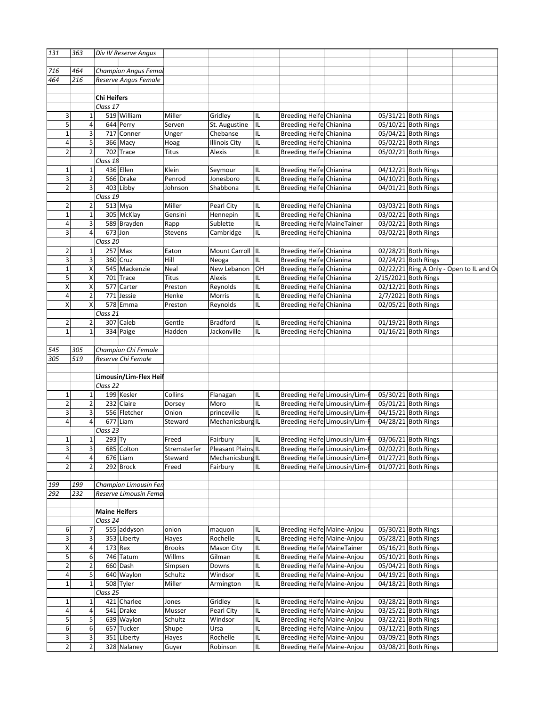| 131                     | 363                     |                      | Div IV Reserve Angus       |                                 |                      |             |                                                           |                      |                                            |  |
|-------------------------|-------------------------|----------------------|----------------------------|---------------------------------|----------------------|-------------|-----------------------------------------------------------|----------------------|--------------------------------------------|--|
|                         |                         |                      |                            |                                 |                      |             |                                                           |                      |                                            |  |
| 716                     | 464                     |                      | Champion Angus Femal       |                                 |                      |             |                                                           |                      |                                            |  |
| 464                     | 216                     |                      | Reserve Angus Female       |                                 |                      |             |                                                           |                      |                                            |  |
|                         |                         |                      |                            |                                 |                      |             |                                                           |                      |                                            |  |
|                         |                         | <b>Chi Heifers</b>   |                            |                                 |                      |             |                                                           |                      |                                            |  |
|                         |                         | Class 17             |                            |                                 |                      |             |                                                           |                      |                                            |  |
| 3                       | $\mathbf 1$             |                      | 519 William                | Miller                          | Gridley              | IL          | <b>Breeding Heifel Chianina</b>                           |                      | 05/31/21 Both Rings                        |  |
| 5                       | 4                       |                      | 644 Perry                  | Serven                          | St. Augustine        | IL          | <b>Breeding Heifel Chianina</b>                           |                      | 05/10/21 Both Rings                        |  |
| $\mathbf{1}$            | 3                       |                      | 717 Conner                 | Unger                           | Chebanse             | IL          | Breeding Heife Chianina                                   |                      | 05/04/21 Both Rings                        |  |
| 4                       | 5                       |                      | 366 Macy                   | Hoag                            | <b>Illinois City</b> | IL          | Breeding Heife Chianina                                   |                      | 05/02/21 Both Rings                        |  |
| 2                       | $\overline{2}$          |                      | 702 Trace                  | Titus                           | Alexis               | IL          | Breeding Heife Chianina                                   |                      | 05/02/21 Both Rings                        |  |
|                         |                         |                      |                            |                                 |                      |             |                                                           |                      |                                            |  |
|                         |                         | Class 18             |                            |                                 |                      |             |                                                           |                      |                                            |  |
| $\mathbf 1$             | 1                       |                      | 436 Ellen                  | Klein                           | Seymour              | IL          | <b>Breeding Heifel Chianina</b>                           |                      | 04/12/21 Both Rings                        |  |
| 3                       | $\overline{\mathbf{c}}$ |                      | 566 Drake                  | Penrod                          | Jonesboro            | IIL.        | Breeding Heife Chianina                                   |                      | 04/10/21 Both Rings                        |  |
| $\overline{c}$          | 3                       |                      | 403 Libby                  | Johnson                         | Shabbona             | IL          | Breeding Heife Chianina                                   |                      | 04/01/21 Both Rings                        |  |
|                         |                         | Class $19$           |                            |                                 |                      |             |                                                           |                      |                                            |  |
| 2                       | 2                       |                      | $513$ Mya                  | Miller                          | Pearl City           | IL          | Breeding Heifel Chianina                                  |                      | 03/03/21 Both Rings                        |  |
| $\mathbf{1}$            | $\mathbf 1$             |                      | 305 McKlay                 | Gensini                         | Hennepin             | IIL         | Breeding Heife Chianina                                   |                      | 03/02/21 Both Rings                        |  |
| 4                       | $\overline{\mathbf{3}}$ |                      | 589 Brayden                | Rapp                            | Sublette             | IIL         | <b>Breeding Heifel MaineTainer</b>                        |                      | 03/02/21 Both Rings                        |  |
| 3                       | $\pmb{4}$               | $673$ Jon            |                            | <b>Stevens</b>                  | Cambridge            | IL          | <b>Breeding Heifel Chianina</b>                           |                      | 03/02/21 Both Rings                        |  |
|                         |                         | Class 20             |                            |                                 |                      |             |                                                           |                      |                                            |  |
| 2                       | 1                       |                      | $257$ Max                  | Eaton                           | Mount Carroll IL     |             | Breeding Heife Chianina                                   |                      | 02/28/21 Both Rings                        |  |
|                         |                         |                      | $360$ Cruz                 |                                 |                      |             |                                                           |                      |                                            |  |
| 3                       | 3                       |                      |                            | Hill                            | Neoga                | IL          | <b>Breeding Heifel Chianina</b>                           |                      | 02/24/21 Both Rings                        |  |
| $\mathbf 1$             | X                       |                      | 545 Mackenzie              | Neal                            | New Lebanon          | lон         | Breeding Heife Chianina                                   |                      | 02/22/21 Ring A Only - Open to IL and Or   |  |
| 5                       | Χ                       |                      | 701 Trace                  | <b>Titus</b>                    | Alexis               | IL          | <b>Breeding Heife Chianina</b>                            | 2/15/2021 Both Rings |                                            |  |
| X                       | Χ                       |                      | 577 Carter                 | Preston                         | Reynolds             | IL          | Breeding Heife Chianina                                   |                      | 02/12/21 Both Rings                        |  |
| 4                       | $\sqrt{2}$              |                      | 771 Jessie                 | Henke                           | Morris               | IL          | <b>Breeding Heife Chianina</b>                            |                      | 2/7/2021 Both Rings                        |  |
| Χ                       | $\pmb{\times}$          |                      | 578 Emma                   | Preston                         | Reynolds             | IL          | Breeding Heifel Chianina                                  |                      | 02/05/21 Both Rings                        |  |
|                         |                         | Class 21             |                            |                                 |                      |             |                                                           |                      |                                            |  |
| 2                       | $\overline{2}$          |                      | 307 Caleb                  | Gentle                          | <b>Bradford</b>      | IIL         | Breeding Heife Chianina                                   |                      | $01/19/21$ Both Rings                      |  |
| $\mathbf{1}$            | $\mathbf{1}$            |                      | 334 Paige                  | Hadden                          | Jackonville          | IL          | Breeding Heifel Chianina                                  |                      | $01/16/21$ Both Rings                      |  |
|                         |                         |                      |                            |                                 |                      |             |                                                           |                      |                                            |  |
| 545                     | 305                     |                      | Champion Chi Female        |                                 |                      |             |                                                           |                      |                                            |  |
|                         |                         |                      |                            |                                 |                      |             |                                                           |                      |                                            |  |
|                         |                         |                      |                            |                                 |                      |             |                                                           |                      |                                            |  |
|                         | 519                     |                      | Reserve Chi Female         |                                 |                      |             |                                                           |                      |                                            |  |
|                         |                         |                      |                            |                                 |                      |             |                                                           |                      |                                            |  |
|                         |                         |                      | Limousin/Lim-Flex Heif     |                                 |                      |             |                                                           |                      |                                            |  |
|                         |                         | Class 22             |                            |                                 |                      |             |                                                           |                      |                                            |  |
| 1                       | 1                       |                      | 199 Kesler                 | Collins                         | Flanagan             | IL          | Breeding Heifel Limousin/Lim-F                            |                      | 05/30/21 Both Rings                        |  |
| 2                       | 2                       |                      | 232 Claire                 | Dorsey                          | Moro                 | IL          | Breeding Heife Limousin/Lim-F                             |                      | 05/01/21 Both Rings                        |  |
| 3                       | 3                       |                      | 556 Fletcher               | Onion                           | princeville          | IIL         | Breeding Heife Limousin/Lim-F                             |                      | 04/15/21 Both Rings                        |  |
| 4                       | $\pmb{4}$               |                      | $677$ Liam                 | Steward                         | Mechanicsburg IL     |             | Breeding Heife Limousin/Lim-F                             |                      | 04/28/21 Both Rings                        |  |
|                         |                         | Class 23             |                            |                                 |                      |             |                                                           |                      |                                            |  |
| 1                       |                         |                      |                            | Freed                           |                      | IIL         |                                                           |                      |                                            |  |
|                         | $\mathbf{1}$            | $293$ Ty             |                            |                                 | Fairbury             |             | Breeding Heife Limousin/Lim-F                             |                      | 03/06/21 Both Rings                        |  |
| $\overline{\mathsf{3}}$ | उ                       |                      | 685 Colton                 | Stremsterfer Pleasant Plains IL |                      |             | Breeding Heife Limousin/Lim-F                             |                      | 02/02/21 Both Rings                        |  |
| 4                       | 4                       |                      | $676$  Liam                | Steward                         | Mechanicsburg IL     |             | Breeding Heife Limousin/Lim-F                             |                      | 01/27/21 Both Rings                        |  |
|                         | $\overline{2}$          |                      | 292 Brock                  | Freed                           | Fairbury             | IL          | Breeding Heife Limousin/Lim-F                             |                      | 01/07/21 Both Rings                        |  |
|                         |                         |                      |                            |                                 |                      |             |                                                           |                      |                                            |  |
|                         | 199                     |                      | Champion Limousin Fer      |                                 |                      |             |                                                           |                      |                                            |  |
|                         | 232                     |                      | Reserve Limousin Fema      |                                 |                      |             |                                                           |                      |                                            |  |
|                         |                         |                      |                            |                                 |                      |             |                                                           |                      |                                            |  |
|                         |                         | <b>Maine Heifers</b> |                            |                                 |                      |             |                                                           |                      |                                            |  |
|                         |                         | Class 24             |                            |                                 |                      |             |                                                           |                      |                                            |  |
| 6                       | 7                       |                      | 555 addyson                | onion                           | maquon               | IL          |                                                           |                      |                                            |  |
|                         |                         |                      |                            |                                 |                      |             | Breeding Heife Maine-Anjou                                |                      | 05/30/21 Both Rings                        |  |
| 3                       | 3                       |                      | 353 Liberty                | Hayes                           | Rochelle             | IIL.        | Breeding Heife Maine-Anjou                                |                      | 05/28/21 Both Rings                        |  |
| Χ                       | 4                       |                      | $173$ Rex                  | <b>Brooks</b>                   | Mason City           | IIL.        | Breeding Heife Maine Tainer                               |                      | 05/16/21 Both Rings                        |  |
| 5                       | 6                       |                      | 746 Tatum                  | Willms                          | Gilman               | IL          | <b>Breeding Heife Maine-Anjou</b>                         |                      | 05/10/21 Both Rings                        |  |
| $\overline{2}$          | $\overline{2}$          |                      | 660 Dash                   | Simpsen                         | Downs                | IL          | Breeding Heifel Maine-Anjou                               |                      | 05/04/21 Both Rings                        |  |
| 4                       | 5 <sub>l</sub>          |                      | 640 Waylon                 | Schultz                         | Windsor              | IL          | Breeding Heife Maine-Anjou                                |                      | 04/19/21 Both Rings                        |  |
| $\mathbf{1}$            | $\mathbf 1$             |                      | 508 Tyler                  | Miller                          | Armington            | IL          | Breeding Heifel Maine-Anjou                               |                      | 04/18/21 Both Rings                        |  |
|                         |                         | Class 25             |                            |                                 |                      |             |                                                           |                      |                                            |  |
| 1                       | $\mathbf{1}$            |                      | 421 Charlee                | Jones                           | Gridley              | IIL         | Breeding Heife Maine-Anjou                                |                      | 03/28/21 Both Rings                        |  |
| $\sqrt{4}$              | 4                       |                      | 541 Drake                  | Musser                          | Pearl City           | IIL.        | Breeding Heifel Maine-Anjou                               |                      | 03/25/21 Both Rings                        |  |
| 5                       | 5 <sub>l</sub>          |                      | 639 Waylon                 | Schultz                         | Windsor              | IL          |                                                           |                      |                                            |  |
| 305<br>199<br>292       |                         |                      | 657 Tucker                 |                                 | Ursa                 | IIL.        | <b>Breeding Heife Maine-Anjou</b>                         |                      | 03/22/21 Both Rings                        |  |
| 6                       | 6                       |                      |                            | Shupe                           |                      |             | Breeding Heife Maine-Anjou                                |                      | 03/12/21 Both Rings                        |  |
| 3<br>$\overline{2}$     | 3<br>$\overline{2}$     |                      | 351 Liberty<br>328 Nalaney | Hayes<br>Guyer                  | Rochelle<br>Robinson | IIL.<br>IIL | Breeding Heifel Maine-Anjou<br>Breeding Heife Maine-Anjou |                      | 03/09/21 Both Rings<br>03/08/21 Both Rings |  |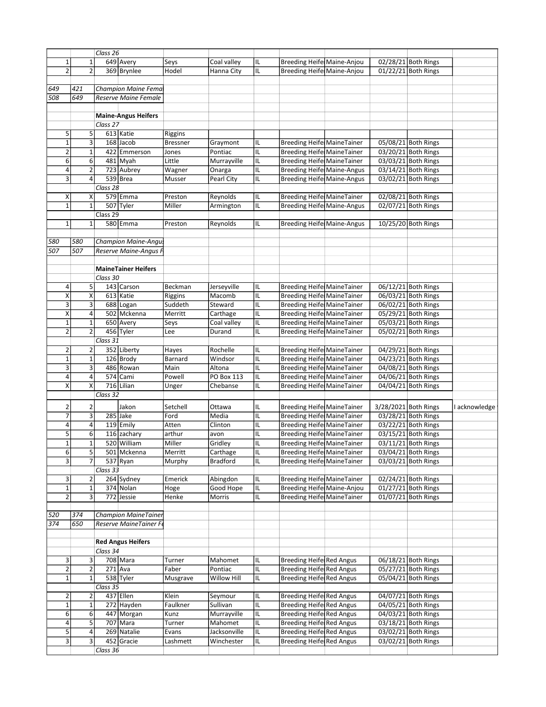|                   |                | Class 26 |                              |          |                 |                                   |                      |                     |               |
|-------------------|----------------|----------|------------------------------|----------|-----------------|-----------------------------------|----------------------|---------------------|---------------|
|                   |                |          | 649 Avery                    | Seys     | Coal valley     | Breeding Heife Maine-Anjou        |                      | 02/28/21 Both Rings |               |
|                   | $\overline{2}$ |          | 369 Brynlee                  | Hodel    | Hanna City      | Breeding Heife Maine-Anjou        |                      | 01/22/21 Both Rings |               |
|                   |                |          |                              |          |                 |                                   |                      |                     |               |
| 649               | 421            |          | Champion Maine Fema          |          |                 |                                   |                      |                     |               |
| 508               | 649            |          | Reserve Maine Female         |          |                 |                                   |                      |                     |               |
|                   |                |          |                              |          |                 |                                   |                      |                     |               |
|                   |                |          |                              |          |                 |                                   |                      |                     |               |
|                   |                |          | <b>Maine-Angus Heifers</b>   |          |                 |                                   |                      |                     |               |
|                   |                | Class 27 |                              |          |                 |                                   |                      |                     |               |
|                   | -5 I           |          | 613 Katie                    | Riggins  |                 |                                   |                      |                     |               |
|                   | -31            |          | $168$ Jacob                  | Bressner |                 | <b>Breeding Heife MaineTainer</b> |                      | 05/08/21 Both Rings |               |
|                   |                |          |                              |          | Graymont        |                                   |                      |                     |               |
|                   |                |          | 422 Emmerson                 | Jones    | Pontiac         | Breeding Heife MaineTainer        |                      | 03/20/21 Both Rings |               |
| -6                | 6              |          | $481$ Myah                   | Little   | Murrayville     | <b>Breeding Heife MaineTainer</b> |                      | 03/03/21 Both Rings |               |
| $\overline{a}$    | $\overline{2}$ |          | 723 Aubrey                   | Wagner   | Onarga          | Breeding Heife Maine-Angus        |                      | 03/14/21 Both Rings |               |
| 3                 |                |          | 539 Brea                     | Musser   | Pearl City      | Breeding Heife Maine-Angus        |                      | 03/02/21 Both Rings |               |
|                   |                | Class 28 |                              |          |                 |                                   |                      |                     |               |
|                   |                |          |                              |          |                 |                                   |                      |                     |               |
|                   | X              |          | 579 Emma                     | Preston  | Reynolds        | <b>Breeding Heife MaineTainer</b> |                      | 02/08/21 Both Rings |               |
|                   |                |          | 507 Tyler                    | Miller   | Armington       | Breeding Heife Maine-Angus        |                      | 02/07/21 Both Rings |               |
|                   |                | Class 29 |                              |          |                 |                                   |                      |                     |               |
| $\mathbf{1}$      | -1 I           |          | 580 Emma                     | Preston  | Reynolds        | Breeding Heife Maine-Angus        |                      | 10/25/20 Both Rings |               |
|                   |                |          |                              |          |                 |                                   |                      |                     |               |
|                   |                |          |                              |          |                 |                                   |                      |                     |               |
| 580<br>507        | 580            |          | Champion Maine-Angus         |          |                 |                                   |                      |                     |               |
|                   | 507            |          | <b>Reserve Maine-Angus F</b> |          |                 |                                   |                      |                     |               |
|                   |                |          |                              |          |                 |                                   |                      |                     |               |
|                   |                |          | <b>MaineTainer Heifers</b>   |          |                 |                                   |                      |                     |               |
|                   |                |          |                              |          |                 |                                   |                      |                     |               |
|                   |                | Class 30 |                              |          |                 |                                   |                      |                     |               |
|                   | - 5 I          |          | 143 Carson                   | Beckman  | Jerseyville     | Breeding Heife MaineTainer        |                      | 06/12/21 Both Rings |               |
| X                 | $\mathsf{x}$   |          | 613 Katie                    | Riggins  | Macomb          | <b>Breeding Heife MaineTainer</b> |                      | 06/03/21 Both Rings |               |
|                   |                |          | 688 Logan                    | Suddeth  | Steward         | Breeding Heife MaineTainer        |                      | 06/02/21 Both Rings |               |
|                   |                |          | 502 Mckenna                  | Merritt  | Carthage        | Breeding Heife MaineTainer        |                      | 05/29/21 Both Rings |               |
| $\overline{1}$    |                |          |                              |          |                 |                                   |                      |                     |               |
|                   |                |          | 650 Avery                    | Seys     | Coal valley     | <b>Breeding Heife MaineTainer</b> |                      | 05/03/21 Both Rings |               |
|                   | $\overline{2}$ |          | 456 Tyler                    | Lee      | Durand          | Breeding Heife MaineTainer        |                      | 05/02/21 Both Rings |               |
|                   |                | Class 31 |                              |          |                 |                                   |                      |                     |               |
| $\overline{2}$    |                |          | 352 Liberty                  | Hayes    | Rochelle        | <b>Breeding Heife MaineTainer</b> |                      | 04/29/21 Both Rings |               |
|                   |                |          |                              |          |                 |                                   |                      |                     |               |
|                   |                |          | 126 Brody                    | Barnard  | Windsor         | <b>Breeding Heife MaineTainer</b> |                      | 04/23/21 Both Rings |               |
| $\mathbf{3}$      | -31            |          | 486 Rowan                    | Main     | Altona          | <b>Breeding Heife MaineTainer</b> |                      | 04/08/21 Both Rings |               |
|                   |                |          | 574 Cami                     | Powell   | PO Box 113      | Breeding Heife MaineTainer        |                      | 04/06/21 Both Rings |               |
|                   |                |          | 716 Lilian                   | Unger    | Chebanse        | <b>Breeding Heife MaineTainer</b> |                      | 04/04/21 Both Rings |               |
|                   |                | Class 32 |                              |          |                 |                                   |                      |                     |               |
|                   |                |          |                              |          |                 |                                   |                      |                     |               |
|                   |                |          | Jakon                        | Setchell | Ottawa          | <b>Breeding Heife MaineTainer</b> | 3/28/2021 Both Rings |                     | I acknowledge |
|                   |                |          | 285 Jake                     | Ford     | Media           | <b>Breeding Heife MaineTainer</b> |                      | 03/28/21 Both Rings |               |
|                   |                |          |                              |          |                 |                                   |                      |                     |               |
|                   |                |          | 119 Emily                    | Atten    | Clinton         | <b>Breeding Heife MaineTainer</b> |                      | 03/22/21 Both Rings |               |
|                   |                |          | 116 zachary                  | arthur   | avon            | Breeding Heife MaineTainer        |                      | 03/15/21 Both Rings |               |
|                   |                |          | 520 William                  | Miller   | Gridley         | <b>Breeding Heife MaineTainer</b> |                      | 03/11/21 Both Rings |               |
|                   | -5 I           |          | 501   Mckenna                | Merritt  | Carthage        | Breeding Heife Maine Tainer       |                      | 03/04/21 Both Rings |               |
|                   |                |          |                              |          |                 |                                   |                      |                     |               |
| 3                 |                | 7 I      | $537$ Ryan                   | Murphy   | <b>Bradford</b> | <b>Breeding Heife MaineTainer</b> |                      | 03/03/21 Both Rings |               |
|                   |                | Class 33 |                              |          |                 |                                   |                      |                     |               |
| $\overline{3}$    |                |          | 264 Sydney                   | Emerick  | Abingdon        | <b>Breeding Heife MaineTainer</b> |                      | 02/24/21 Both Rings |               |
| 1                 | 11             |          | 374 Nolan                    | Hoge     | Good Hope       | Breeding Heife Maine-Anjou        |                      | 01/27/21 Both Rings |               |
|                   |                |          |                              |          |                 |                                   |                      |                     |               |
| $\overline{2}$    | ્રવ            |          | 772 Jessie                   | Henke    | Morris          | <b>Breeding Heife MaineTainer</b> |                      | 01/07/21 Both Rings |               |
|                   |                |          |                              |          |                 |                                   |                      |                     |               |
|                   | $374$          |          | Champion MaineTainer         |          |                 |                                   |                      |                     |               |
| $\frac{520}{374}$ | 650            |          | Reserve MaineTainer Fe       |          |                 |                                   |                      |                     |               |
|                   |                |          |                              |          |                 |                                   |                      |                     |               |
|                   |                |          |                              |          |                 |                                   |                      |                     |               |
|                   |                |          | <b>Red Angus Heifers</b>     |          |                 |                                   |                      |                     |               |
|                   |                | Class 34 |                              |          |                 |                                   |                      |                     |               |
| 3                 | -31            |          | 708 Mara                     | Turner   | Mahomet         | <b>Breeding Heife Red Angus</b>   |                      | 06/18/21 Both Rings |               |
|                   |                |          |                              |          |                 |                                   |                      |                     |               |
| $\overline{2}$    | 2              |          | $271$ Ava                    | Faber    | Pontiac         | <b>Breeding Heife Red Angus</b>   |                      | 05/27/21 Both Rings |               |
|                   |                |          | 538 Tyler                    | Musgrave | Willow Hill     | <b>Breeding Heife Red Angus</b>   |                      | 05/04/21 Both Rings |               |
|                   |                | Class 35 |                              |          |                 |                                   |                      |                     |               |
| $\overline{2}$    | <b>21</b>      |          | 437 Ellen                    | Klein    | Seymour         | <b>Breeding Heife Red Angus</b>   |                      | 04/07/21 Both Rings |               |
|                   |                |          |                              |          |                 |                                   |                      |                     |               |
|                   |                |          | 272 Hayden                   | Faulkner | Sullivan        | <b>Breeding Heife Red Angus</b>   |                      | 04/05/21 Both Rings |               |
| 6                 | 6 <sup>1</sup> |          | 447 Morgan                   | Kunz     | Murrayville     | <b>Breeding Heife Red Angus</b>   |                      | 04/03/21 Both Rings |               |
| $\overline{a}$    | -51            |          | 707   Mara                   | Turner   | Mahomet         | <b>Breeding Heife Red Angus</b>   |                      | 03/18/21 Both Rings |               |
|                   |                |          | 269 Natalie                  | Evans    | Jacksonville    | <b>Breeding Heife Red Angus</b>   |                      | 03/02/21 Both Rings |               |
|                   |                |          |                              |          |                 |                                   |                      |                     |               |
|                   |                |          |                              |          |                 |                                   |                      |                     |               |
| 3                 | $\vert$ 3      | Class 36 | 452 Gracie                   | Lashmett | Winchester      | <b>Breeding Heife Red Angus</b>   | 03/02/21 Both Rings  |                     |               |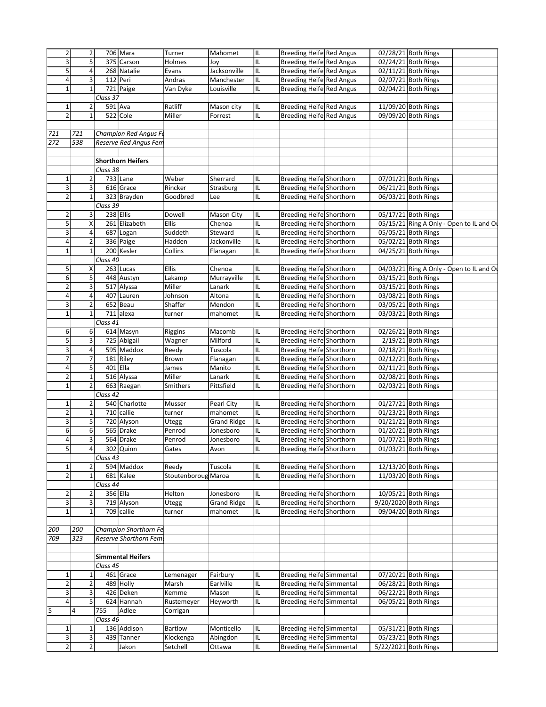| 2                              | $\overline{2}$     |             | 706 Mara                 | Turner              | Mahomet            | IIL  | Breeding Heife Red Angus         |  | 02/28/21 Both Rings                      |  |
|--------------------------------|--------------------|-------------|--------------------------|---------------------|--------------------|------|----------------------------------|--|------------------------------------------|--|
| 3                              | 5                  |             | 375 Carson               | Holmes              | Joy                | IL   | Breeding Heife Red Angus         |  | 02/24/21 Both Rings                      |  |
| 5                              | 4                  |             | 268 Natalie              | Evans               | Jacksonville       | IL   | Breeding Heife Red Angus         |  | 02/11/21 Both Rings                      |  |
| $\overline{\mathbf{4}}$        | 3                  | 112 Peri    |                          | Andras              | Manchester         | IL   | <b>Breeding Heife Red Angus</b>  |  | 02/07/21 Both Rings                      |  |
| 1                              | $\mathbf{1}$       |             | 721 Paige                | Van Dyke            | Louisville         | IL   | Breeding Heife Red Angus         |  | 02/04/21 Both Rings                      |  |
|                                |                    | Class 37    |                          |                     |                    |      |                                  |  |                                          |  |
| 1                              | 2                  | 591 Ava     |                          | Ratliff             | Mason city         | IL   | Breeding Heife Red Angus         |  | 11/09/20 Both Rings                      |  |
| $\overline{2}$                 | $\mathbf{1}$       |             | 522 Cole                 |                     |                    |      |                                  |  |                                          |  |
|                                |                    |             |                          | Miller              | Forrest            | IIL. | Breeding Heife Red Angus         |  | 09/09/20 Both Rings                      |  |
|                                |                    |             |                          |                     |                    |      |                                  |  |                                          |  |
| 721                            | 721                |             | Champion Red Angus Fe    |                     |                    |      |                                  |  |                                          |  |
| 272                            | 538                |             | Reserve Red Angus Fem    |                     |                    |      |                                  |  |                                          |  |
|                                |                    |             |                          |                     |                    |      |                                  |  |                                          |  |
|                                |                    |             | <b>Shorthorn Heifers</b> |                     |                    |      |                                  |  |                                          |  |
|                                |                    | Class 38    |                          |                     |                    |      |                                  |  |                                          |  |
| $\mathbf 1$                    | 2                  |             | $733$ Lane               | Weber               | Sherrard           | IIL  | Breeding Heife Shorthorn         |  | 07/01/21 Both Rings                      |  |
| 3                              | 3                  |             | 616 Grace                | Rincker             | Strasburg          | IIL. | Breeding Heife Shorthorn         |  | 06/21/21 Both Rings                      |  |
| $\overline{2}$                 | $\mathbf 1$        |             | 323 Brayden              | Goodbred            | Lee                | IL   | <b>Breeding Heifel Shorthorn</b> |  | 06/03/21 Both Rings                      |  |
|                                |                    | Class 39    |                          |                     |                    |      |                                  |  |                                          |  |
| 2                              | 3                  | $238$ Ellis |                          | Dowell              | <b>Mason City</b>  | IL   | Breeding Heife Shorthorn         |  | 05/17/21 Both Rings                      |  |
| 5                              | $\pmb{\mathsf{X}}$ |             | 261 Elizabeth            | <b>Ellis</b>        | Chenoa             | IL   | Breeding Heife Shorthorn         |  | 05/15/21 Ring A Only - Open to IL and O  |  |
|                                |                    |             |                          |                     |                    |      |                                  |  |                                          |  |
| 3                              | 4                  |             | 687 Logan                | Suddeth             | Steward            | IL   | <b>Breeding Heife Shorthorn</b>  |  | 05/05/21 Both Rings                      |  |
| 4                              | $\overline{2}$     |             | 336 Paige                | Hadden              | Jackonville        | IIL. | <b>Breeding Heife Shorthorn</b>  |  | 05/02/21 Both Rings                      |  |
| $\mathbf 1$                    | $\mathbf 1$        |             | 200 Kesler               | Collins             | Flanagan           | IL   | Breeding Heife Shorthorn         |  | 04/25/21 Both Rings                      |  |
|                                |                    | Class 40    |                          |                     |                    |      |                                  |  |                                          |  |
| 5                              | Χ                  |             | 263 Lucas                | Ellis               | Chenoa             | IL   | Breeding Heife Shorthorn         |  | 04/03/21 Ring A Only - Open to IL and Or |  |
| 6                              | 5                  |             | 448 Austyn               | Lakamp              | Murrayville        | IIL  | Breeding Heife Shorthorn         |  | 03/15/21 Both Rings                      |  |
| $\overline{2}$                 | 3                  |             | 517 Alyssa               | Miller              | Lanark             | IL   | <b>Breeding Heife Shorthorn</b>  |  | 03/15/21 Both Rings                      |  |
| $\overline{\mathbf{4}}$        | 4                  |             | 407 Lauren               | Johnson             | Altona             | IL   | Breeding Heife Shorthorn         |  | 03/08/21 Both Rings                      |  |
| 3                              | $\overline{2}$     |             | $652$ Beau               | Shaffer             | Mendon             | IL   | Breeding Heife Shorthorn         |  | 03/05/21 Both Rings                      |  |
| $\mathbf 1$                    | $\mathbf 1$        |             | $711$ alexa              | turner              | mahomet            | IL   | <b>Breeding Heife Shorthorn</b>  |  | 03/03/21 Both Rings                      |  |
|                                |                    | Class 41    |                          |                     |                    |      |                                  |  |                                          |  |
| 6                              | 6                  |             | 614 Masyn                | Riggins             | Macomb             | IIL. | <b>Breeding Heife Shorthorn</b>  |  | 02/26/21 Both Rings                      |  |
| 5                              | 3                  |             | 725 Abigail              | Wagner              | Milford            | IL   | Breeding Heife Shorthorn         |  | $2/19/21$ Both Rings                     |  |
|                                |                    |             | 595 Maddox               |                     |                    |      |                                  |  |                                          |  |
| 3                              | $\pmb{4}$          |             |                          | Reedy               | Tuscola            | IL   | Breeding Heife Shorthorn         |  | 02/18/21 Both Rings                      |  |
| $\overline{7}$                 | $\boldsymbol{7}$   |             | 181 Riley                | Brown               | Flanagan           | IL   | Breeding Heife Shorthorn         |  | 02/12/21 Both Rings                      |  |
| $\overline{4}$                 | 5                  | 401 Ella    |                          | James               | Manito             | IL   | Breeding Heife Shorthorn         |  | 02/11/21 Both Rings                      |  |
| $\overline{\mathbf{c}}$        | $\mathbf 1$        |             | 516 Alyssa               | Miller              | Lanark             | IL   | <b>Breeding Heife Shorthorn</b>  |  | 02/08/21 Both Rings                      |  |
| $\mathbf 1$                    | $\overline{2}$     |             | 663 Raegan               | Smithers            | Pittsfield         | IL   | <b>Breeding Heife Shorthorn</b>  |  | 02/03/21 Both Rings                      |  |
|                                |                    | Class 42    |                          |                     |                    |      |                                  |  |                                          |  |
| $\mathbf 1$                    | $\overline{2}$     |             | 540 Charlotte            | Musser              | Pearl City         | IIL  | Breeding Heife Shorthorn         |  | 01/27/21 Both Rings                      |  |
| 2                              | $\mathbf 1$        |             | 710 callie               | turner              | mahomet            | IL   | Breeding Heife Shorthorn         |  | 01/23/21 Both Rings                      |  |
| $\overline{\overline{3}}$      | $\overline{5}$     |             | 720 Alyson               | Utegg               | <b>Grand Ridge</b> | IIL. | Breeding Heife Shorthorn         |  | 01/21/21 Both Rings                      |  |
| 6                              | 6                  |             | 565 Drake                | Penrod              | Jonesboro          | IL   | Breeding Heife Shorthorn         |  | 01/20/21 Both Rings                      |  |
| 4                              | 3                  |             | 564 Drake                | Penrod              | Jonesboro          | IL   | <b>Breeding Heifel Shorthorn</b> |  | 01/07/21 Both Rings                      |  |
| $\overline{5}$                 | $\overline{a}$     |             | 302 Quinn                | Gates               | Avon               | ℡    | <b>Breeding Heife Shorthorn</b>  |  | 01/03/21 Both Rings                      |  |
|                                |                    | Class 43    |                          |                     |                    |      |                                  |  |                                          |  |
|                                |                    |             |                          |                     |                    |      |                                  |  |                                          |  |
| 1                              | 2                  |             | 594 Maddox               | Reedy               | Tuscola            | IL   | Breeding Heife Shorthorn         |  | 12/13/20 Both Rings                      |  |
| $\overline{2}$                 | $\mathbf 1$        |             | 681 Kalee                | Stoutenboroug Maroa |                    | IL   | Breeding Heife Shorthorn         |  | 11/03/20 Both Rings                      |  |
|                                |                    | Class 44    |                          |                     |                    |      |                                  |  |                                          |  |
| 2                              | 2                  | 356 Ella    |                          | Helton              | Jonesboro          | IL   | Breeding Heife Shorthorn         |  | 10/05/21 Both Rings                      |  |
| 3                              | 3                  |             | 719 Alyson               | Utegg               | <b>Grand Ridge</b> | IL   | Breeding Heife Shorthorn         |  | 9/20/2020 Both Rings                     |  |
| $\mathbf{1}$                   | $\mathbf 1$        |             | $\overline{709}$ callie  | turner              | mahomet            | IL   | <b>Breeding Heife Shorthorn</b>  |  | 09/04/20 Both Rings                      |  |
|                                |                    |             |                          |                     |                    |      |                                  |  |                                          |  |
|                                |                    |             |                          |                     |                    |      |                                  |  |                                          |  |
|                                | 200                |             | Champion Shorthorn Fe    |                     |                    |      |                                  |  |                                          |  |
|                                | 323                |             | Reserve Shorthorn Fem    |                     |                    |      |                                  |  |                                          |  |
|                                |                    |             |                          |                     |                    |      |                                  |  |                                          |  |
|                                |                    |             |                          |                     |                    |      |                                  |  |                                          |  |
|                                |                    |             | <b>Simmental Heifers</b> |                     |                    |      |                                  |  |                                          |  |
|                                |                    | Class 45    |                          |                     |                    |      |                                  |  |                                          |  |
| $\mathbf{1}$                   | 1                  |             | 461 Grace                | Lemenager           | Fairbury           | IL   | <b>Breeding Heife Simmental</b>  |  | 07/20/21 Both Rings                      |  |
| $\overline{2}$                 | $\overline{2}$     |             | 489 Holly                | Marsh               | Earlville          | IL   | <b>Breeding Heife Simmental</b>  |  | 06/28/21 Both Rings                      |  |
| $\overline{\mathbf{3}}$        | 3                  |             | 426 Deken                | Kemme               | Mason              | IL   | <b>Breeding Heife Simmental</b>  |  | 06/22/21 Both Rings                      |  |
| $\overline{\mathbf{4}}$        | 5                  |             | 624 Hannah               | Rustemeyer          | Heyworth           | IL   | <b>Breeding Heife Simmental</b>  |  | 06/05/21 Both Rings                      |  |
|                                | 4                  | 755         | Adlee                    | Corrigan            |                    |      |                                  |  |                                          |  |
|                                |                    | Class 46    |                          |                     |                    |      |                                  |  |                                          |  |
| 200<br>709<br>5<br>$\mathbf 1$ | $\mathbf{1}$       |             | 136 Addison              | Bartlow             | Monticello         | IL   | <b>Breeding Heife Simmental</b>  |  | 05/31/21 Both Rings                      |  |
| 3                              | 3                  | 439         | Tanner                   | Klockenga           | Abingdon           | IL   | <b>Breeding Heife Simmental</b>  |  | 05/23/21 Both Rings                      |  |
| $\overline{2}$                 | $\overline{2}$     |             | Jakon                    | Setchell            | Ottawa             | IIL. | Breeding Heife Simmental         |  | 5/22/2021 Both Rings                     |  |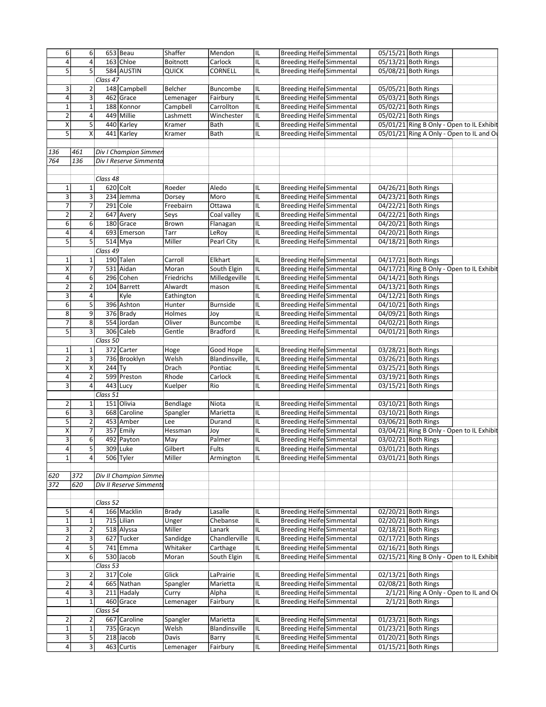| 6                       | 6                       |                       | $653$ Beau              | Shaffer              | Mendon          | IIL. | Breeding Heife Simmental         |  | 05/15/21 Both Rings                       |  |
|-------------------------|-------------------------|-----------------------|-------------------------|----------------------|-----------------|------|----------------------------------|--|-------------------------------------------|--|
| 4                       | 4                       |                       | $163$ Chloe             | Boitnott             | Carlock         | IL   | Breeding Heife Simmental         |  | 05/13/21 Both Rings                       |  |
| 5                       | 5                       |                       | 584 AUSTIN              | QUICK                | CORNELL         | IL   | <b>Breeding Heife Simmental</b>  |  | 05/08/21 Both Rings                       |  |
|                         |                         | Class 47              |                         |                      |                 |      |                                  |  |                                           |  |
| 3                       | 2                       |                       | 148 Campbell            | Belcher              | Buncombe        | IL   | Breeding Heife Simmental         |  | 05/05/21 Both Rings                       |  |
| 4                       | 3                       |                       | 462 Grace               | Lemenager            | Fairbury        | IL   | <b>Breeding Heife Simmental</b>  |  | 05/03/21 Both Rings                       |  |
| $\overline{\mathbf{1}}$ | $\mathbf 1$             |                       | 188 Konnor              | Campbell             | Carrollton      | IL   | <b>Breeding Heife Simmental</b>  |  | 05/02/21 Both Rings                       |  |
| 2                       | $\pmb{4}$               |                       | 449 Millie              | Lashmett             | Winchester      | IL   | <b>Breeding Heife Simmental</b>  |  | 05/02/21 Both Rings                       |  |
| Χ                       | 5                       |                       | 440 Karley              | Kramer               | Bath            | IIL. | Breeding Heife Simmental         |  | 05/01/21 Ring B Only - Open to IL Exhibit |  |
| 5                       | X                       |                       | 441 Karley              | Kramer               | Bath            | IL   | <b>Breeding Heife Simmental</b>  |  | 05/01/21 Ring A Only - Open to IL and Or  |  |
|                         |                         |                       |                         |                      |                 |      |                                  |  |                                           |  |
| 136                     | 461                     |                       | Div I Champion Simmen   |                      |                 |      |                                  |  |                                           |  |
| 764                     | 136                     |                       | Div I Reserve Simmenta  |                      |                 |      |                                  |  |                                           |  |
|                         |                         |                       |                         |                      |                 |      |                                  |  |                                           |  |
|                         |                         |                       |                         |                      |                 |      |                                  |  |                                           |  |
|                         |                         | Class 48              |                         |                      |                 |      |                                  |  |                                           |  |
| $\mathbf{1}$            | $\mathbf 1$             |                       | $620$ Colt              | Roeder               | Aledo           | IL   | Breeding Heife Simmental         |  | 04/26/21 Both Rings                       |  |
| $\overline{\mathbf{3}}$ | 3                       |                       | 234 Jemma               | Dorsey               | Moro            | IL   | Breeding Heife Simmental         |  | 04/23/21 Both Rings                       |  |
| $\overline{7}$          | $\overline{7}$          |                       | $291$ Cole              | Freebairn            | Ottawa          | IL   | <b>Breeding Heife Simmental</b>  |  | 04/22/21 Both Rings                       |  |
| $\overline{2}$          | $\overline{\mathbf{c}}$ |                       | 647 Avery               | Seys                 | Coal valley     | IL   | <b>Breeding Heife Simmental</b>  |  | 04/22/21 Both Rings                       |  |
| 6                       | 6                       |                       | 180 Grace               | Brown                | Flanagan        | IL   | <b>Breeding Heife Simmental</b>  |  | 04/20/21 Both Rings                       |  |
| 4                       | 4                       |                       | 693 Emerson             | Tarr                 | LeRoy           | IL   | <b>Breeding Heife Simmental</b>  |  | 04/20/21 Both Rings                       |  |
| 5                       | 5                       |                       | 514 Mya                 | Miller               | Pearl City      | IL   | <b>Breeding Heife Simmental</b>  |  | 04/18/21 Both Rings                       |  |
|                         |                         | Class $\overline{49}$ |                         |                      |                 |      |                                  |  |                                           |  |
| $\mathbf 1$             | $\mathbf 1$             |                       | 190 Talen               | Carroll              | Elkhart         | IL   | <b>Breeding Heife Simmental</b>  |  | 04/17/21 Both Rings                       |  |
| X                       | $\overline{7}$          |                       | 531 Aidan               | Moran                | South Elgin     | IL   | Breeding Heife Simmental         |  | 04/17/21 Ring B Only - Open to IL Exhibit |  |
| $\overline{4}$          | 6                       |                       | 296 Cohen               | Friedrichs           | Milledgeville   | IIL. | <b>Breeding Heife Simmental</b>  |  | 04/14/21 Both Rings                       |  |
| 2                       | $\overline{2}$          |                       | 104 Barrett             | Alwardt              | mason           | IL   | <b>Breeding Heife Simmental</b>  |  | 04/13/21 Both Rings                       |  |
| $\overline{\mathbf{3}}$ | $\pmb{4}$               |                       | Kyle                    |                      |                 | IL   | <b>Breeding Heife Simmental</b>  |  | 04/12/21 Both Rings                       |  |
| $\overline{6}$          | $\overline{5}$          |                       | 396 Ashton              | Eathington<br>Hunter | <b>Burnside</b> | IL   | <b>Breeding Heife Simmental</b>  |  | 04/10/21 Both Rings                       |  |
|                         |                         |                       |                         |                      |                 |      |                                  |  |                                           |  |
| 8                       | 9                       |                       | 376 Brady               | Holmes               | Joy             | IL   | <b>Breeding Heife Simmental</b>  |  | 04/09/21 Both Rings                       |  |
| 7                       | 8                       |                       | 554 Jordan              | Oliver               | Buncombe        | IL   | <b>Breeding Heifel Simmental</b> |  | 04/02/21 Both Rings                       |  |
| $\overline{5}$          | $\overline{\mathbf{3}}$ |                       | 306 Caleb               | Gentle               | <b>Bradford</b> | IL   | <b>Breeding Heife Simmental</b>  |  | 04/01/21 Both Rings                       |  |
|                         |                         | Class 50              |                         |                      |                 |      |                                  |  |                                           |  |
| $\mathbf 1$             | 1                       |                       | 372 Carter              | Hoge                 | Good Hope       | IIL. | <b>Breeding Heife Simmental</b>  |  | 03/28/21 Both Rings                       |  |
| $\overline{2}$          | $\overline{\mathbf{3}}$ |                       | 736 Brooklyn            | Welsh                | Blandinsville,  | IIL. | <b>Breeding Heife Simmental</b>  |  | 03/26/21 Both Rings                       |  |
| $\overline{\mathsf{x}}$ | $\pmb{\mathsf{X}}$      | $244$ Ty              |                         | Drach                | Pontiac         | IL   | <b>Breeding Heife Simmental</b>  |  | 03/25/21 Both Rings                       |  |
| 4                       | $\overline{2}$          |                       | 599 Preston             | Rhode                | Carlock         | IL   | <b>Breeding Heife Simmental</b>  |  | 03/19/21 Both Rings                       |  |
| 3                       | 4                       |                       | $443$ Lucy              | Kuelper              | Rio             | IL   | <b>Breeding Heife Simmental</b>  |  | 03/15/21 Both Rings                       |  |
|                         |                         | Class 51              |                         |                      |                 |      |                                  |  |                                           |  |
| 2                       | 1                       |                       | 151 Olivia              | Bendlage             | Niota           | IL   | <b>Breeding Heife Simmental</b>  |  | 03/10/21 Both Rings                       |  |
| 6                       | 3                       |                       | 668 Caroline            | Spangler             | Marietta        | IL   | <b>Breeding Heife Simmental</b>  |  | 03/10/21 Both Rings                       |  |
| 5                       | $\overline{2}$          |                       | 453 Amber               | Lee                  | Durand          | IL   | <b>Breeding Heife Simmental</b>  |  | 03/06/21 Both Rings                       |  |
| Χ                       | $\overline{7}$          |                       | $357$ Emily             | Hessman              |                 | IL   | Breeding Heife Simmental         |  | 03/04/21 Ring B Only - Open to IL Exhibit |  |
| $\overline{\mathbf{3}}$ | 6                       |                       | 492 Payton              | May                  | Joy<br>Palmer   | IIL  | <b>Breeding Heife Simmental</b>  |  | 03/02/21 Both Rings                       |  |
|                         |                         |                       |                         |                      |                 |      |                                  |  |                                           |  |
| 4                       | 5                       |                       | $309$ Luke              | Gilbert              | Fults           | IIL. | Breeding Heife Simmental         |  | 03/01/21 Both Rings                       |  |
| $\overline{1}$          | 4                       |                       | 506 Tyler               | Miller               | Armington       | IL   | <b>Breeding Heife Simmental</b>  |  | 03/01/21 Both Rings                       |  |
|                         |                         |                       |                         |                      |                 |      |                                  |  |                                           |  |
| 620                     | 372                     |                       | Div II Champion Simmel  |                      |                 |      |                                  |  |                                           |  |
| 372                     | 620                     |                       | Div II Reserve Simmento |                      |                 |      |                                  |  |                                           |  |
|                         |                         |                       |                         |                      |                 |      |                                  |  |                                           |  |
|                         |                         | Class 52              |                         |                      |                 |      |                                  |  |                                           |  |
| 5                       | 4                       |                       | 166 Macklin             | Brady                | Lasalle         | IL   | Breeding Heife Simmental         |  | 02/20/21 Both Rings                       |  |
| $\overline{1}$          | $\mathbf 1$             |                       | 715 Lilian              | Unger                | Chebanse        | IL   | <b>Breeding Heife Simmental</b>  |  | 02/20/21 Both Rings                       |  |
| 3                       | $\overline{2}$          |                       | 518 Alyssa              | Miller               | Lanark          | IL   | <b>Breeding Heife Simmental</b>  |  | 02/18/21 Both Rings                       |  |
| $\mathbf 2$             | 3                       |                       | 627 Tucker              | Sandidge             | Chandlerville   | IL   | <b>Breeding Heife Simmental</b>  |  | 02/17/21 Both Rings                       |  |
| 4                       | 5                       |                       | 741 Emma                | Whitaker             | Carthage        | IL   | <b>Breeding Heife Simmental</b>  |  | 02/16/21 Both Rings                       |  |
| $\overline{\mathsf{x}}$ | $\overline{6}$          |                       | 530 Jacob               | Moran                | South Elgin     | IL   | Breeding Heife Simmental         |  | 02/15/21 Ring B Only - Open to IL Exhibit |  |
|                         |                         | Class 53              |                         |                      |                 |      |                                  |  |                                           |  |
|                         |                         |                       |                         |                      |                 |      |                                  |  |                                           |  |
| 3                       | 2                       |                       | $317$ Cole              | Glick                | LaPrairie       | IL   | Breeding Heife Simmental         |  | 02/13/21 Both Rings                       |  |
| $\overline{2}$          | $\overline{4}$          |                       | 665 Nathan              | Spangler             | Marietta        | IL   | <b>Breeding Heife Simmental</b>  |  | 02/08/21 Both Rings                       |  |
| $\overline{4}$          | 3                       |                       | 211 Hadaly              | Curry                | Alpha           | IL   | <b>Breeding Heife Simmental</b>  |  | 2/1/21 Ring A Only - Open to IL and Or    |  |
| $\mathbf 1$             | $\mathbf 1$             |                       | 460 Grace               | Lemenager            | Fairbury        | IL   | <b>Breeding Heife Simmental</b>  |  | 2/1/21 Both Rings                         |  |
|                         |                         | Class 54              |                         |                      |                 |      |                                  |  |                                           |  |
| $\mathbf 2$             | $\overline{2}$          |                       | 667 Caroline            | Spangler             | Marietta        | IL   | <b>Breeding Heife Simmental</b>  |  | 01/23/21 Both Rings                       |  |
|                         |                         |                       | 735 Gracyn              | Welsh                | Blandinsville   | IL   | <b>Breeding Heife Simmental</b>  |  | 01/23/21 Both Rings                       |  |
| $\mathbf 1$             | $\mathbf 1$             |                       |                         |                      |                 |      |                                  |  |                                           |  |
| 3                       | $\overline{\mathbf{5}}$ |                       | $218$ Jacob             | Davis                | Barry           | IL   | <b>Breeding Heife Simmental</b>  |  | 01/20/21 Both Rings                       |  |
| $\overline{4}$          | 3                       |                       | 463 Curtis              | Lemenager            | Fairbury        | IIL. | <b>Breeding Heife Simmental</b>  |  | 01/15/21 Both Rings                       |  |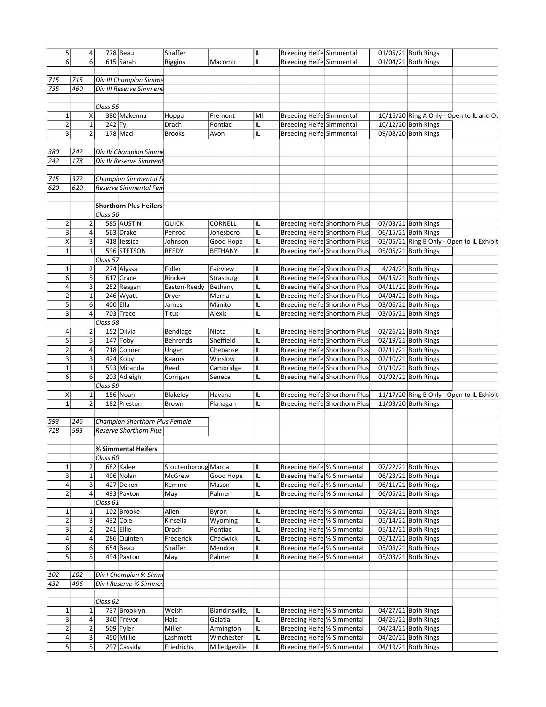| 778 Beau<br>Breeding Heife Simmental<br>01/05/21 Both Rings<br>4<br>6<br>6<br>$615$ Sarah<br>IL<br><b>Breeding Heife Simmental</b><br>01/04/21 Both Rings<br>Riggins<br>Macomb<br>Div III Champion Simme<br>715<br>715<br>735<br>460<br>Div III Reserve Simment<br>Class 55<br>380 Makenna<br>$\mathbf 1$<br><b>Breeding Heife Simmental</b><br>10/16/20 Ring A Only - Open to IL and O<br>х<br>Hoppa<br>MI<br>Fremont<br>2<br>$242$ Ty<br>$\mathbf 1$<br>Drach<br>Breeding Heife Simmental<br>10/12/20 Both Rings<br>IL<br>Pontiac<br>$\overline{\mathbf{3}}$<br>$\overline{2}$<br>178 Maci<br><b>Breeding Heife Simmental</b><br>09/08/20 Both Rings<br>IL<br><b>Brooks</b><br>Avon<br>Div IV Champion Simme<br>380<br>242<br>242<br>178<br>Div IV Reserve Simment<br>Champion Simmental F<br>715<br>372<br>620<br>620<br>Reserve Simmental Fen<br><b>Shorthorn Plus Heifers</b><br>Class 56<br>585 AUSTIN<br>2<br>$\mathbf{2}$<br>CORNELL<br>Breeding Heife Shorthorn Plus<br>07/03/21 Both Rings<br><b>QUICK</b><br>IL<br>$\overline{\overline{3}}$<br>4<br>563 Drake<br>Penrod<br>Breeding Heife Shorthorn Plus<br>06/15/21 Both Rings<br>Jonesboro<br>IL<br>X<br>3<br>418 Jessica<br><b>Breeding Heife Shorthorn Plus</b><br>05/05/21 Ring B Only - Open to IL Exhibit<br>Good Hope<br>IL<br>Johnson<br>$\mathbf 1$<br>596 STETSON<br><b>BETHANY</b><br>IL<br><b>Breeding Heife Shorthorn Plus</b><br>05/05/21 Both Rings<br>$\mathbf 1$<br><b>REEDY</b><br>Class 57<br>$\overline{\mathbf{c}}$<br>274 Alyssa<br>Fidler<br>Fairview<br><b>Breeding Heife Shorthorn Plus</b><br>$4/24/21$ Both Rings<br>1<br>IIL<br>$\overline{6}$<br>$\overline{5}$<br>617 Grace<br>IL<br><b>Breeding Heife Shorthorn Plus</b><br>04/15/21 Both Rings<br>Rincker<br>Strasburg<br>4<br><b>Breeding Heife Shorthorn Plus</b><br>3<br>252 Reagan<br>IL<br>04/11/21 Both Rings<br>Easton-Reedy<br>Bethany<br>$\overline{2}$<br>$\mathbf 1$<br>246 Wyatt<br>Breeding Heife Shorthorn Plus<br>04/04/21 Both Rings<br>IL<br>Dryer<br>Merna<br>5<br>$\sqrt{6}$<br>400 Ella<br><b>Breeding Heife Shorthorn Plus</b><br>IL<br>03/06/21 Both Rings<br>James<br>Manito<br>$\overline{3}$<br>703 Trace<br>4<br><b>Titus</b><br>IL<br>Breeding Heife Shorthorn Plus<br>03/05/21 Both Rings<br>Alexis<br>Class 58<br>152 Olivia<br><b>Breeding Heife Shorthorn Plus</b><br>02/26/21 Both Rings<br>$\overline{2}$<br>4<br>Bendlage<br>Niota<br>IL<br>$\overline{5}$<br>5<br>147 Toby<br>Sheffield<br>Breeding Heife Shorthorn Plus<br><b>Behrends</b><br>IL<br>$02/19/21$ Both Rings<br>2<br>718 Conner<br><b>Breeding Heife Shorthorn Plus</b><br>4<br>Chebanse<br>IL<br>02/11/21 Both Rings<br>Unger<br>$\overline{\overline{3}}$<br>$\overline{3}$<br><b>Breeding Heife Shorthorn Plus</b><br>$424$ Koby<br>Winslow<br>IL<br>02/10/21 Both Rings<br>Kearns<br>$\mathbf 1$<br>593 Miranda<br>IL<br><b>Breeding Heife Shorthorn Plus</b><br>01/10/21 Both Rings<br>$\mathbf 1$<br>Reed<br>Cambridge<br>$\overline{6}$<br>$\sqrt{6}$<br><b>Breeding Heife Shorthorn Plus</b><br>203 Adleigh<br>IL<br>01/02/21 Both Rings<br>Corrigan<br>Seneca<br>Class 59<br>156 Noah<br>11/17/20 Ring B Only - Open to IL Exhibit<br>Χ<br>Blakeley<br><b>Breeding Heife Shorthorn Plus</b><br>$1\vert$<br>IL<br>Havana<br>$\mathbf 1$<br>$\overline{2}$<br><b>Breeding Heife Shorthorn Plus</b><br>11/03/20 Both Rings<br>182 Preston<br>Brown<br>Flanagan<br>IL<br>593<br>Champion Shorthorn Plus Female<br>246<br>718<br>593<br><b>Reserve Shorthorn Plus</b><br>% Simmental Heifers<br>Class 60<br>$\mathbf 1$<br>$\overline{\mathbf{c}}$<br>682 Kalee<br>Stoutenboroug Maroa<br>Breeding Heife % Simmental<br>07/22/21 Both Rings<br>IL<br>3<br>496 Nolan<br>IL<br>$\mathbf 1$<br>McGrew<br>Good Hope<br>Breeding Heife % Simmental<br>06/23/21 Both Rings<br>3<br>4<br>427 Deken<br>IL<br>Breeding Heife % Simmental<br>06/11/21 Both Rings<br>Kemme<br>Mason<br>$\overline{2}$<br>$\overline{4}$<br>493 Payton<br>Breeding Heife % Simmental<br>06/05/21 Both Rings<br>May<br>Palmer<br>IL<br>Class 61<br>102 Brooke<br>$\mathbf 1$<br>Allen<br>IL<br>Breeding Heife % Simmental<br>05/24/21 Both Rings<br>$\mathbf 1$<br>Byron<br>$\overline{2}$<br>3<br>432 Cole<br>05/14/21 Both Rings<br>Kinsella<br>Wyoming<br>IL<br>Breeding Heife % Simmental<br>$\overline{\mathbf{3}}$<br>$\overline{2}$<br>$241$ Ellie<br><b>Breeding Heife % Simmental</b><br>05/12/21 Both Rings<br>Drach<br>Pontiac<br>IL<br>4<br>4<br>286 Quinten<br>Chadwick<br>IL<br>Breeding Heife % Simmental<br>05/12/21 Both Rings<br>Frederick<br>6<br>6<br>654 Beau<br>Shaffer<br><b>Breeding Heife % Simmental</b><br>05/08/21 Both Rings<br>Mendon<br>IL<br>$\overline{5}$<br>$\overline{5}$<br>494 Payton<br><b>Breeding Heife % Simmental</b><br>05/03/21 Both Rings<br>May<br>Palmer<br>IL<br>Div I Champion % Simm<br>102<br>102<br>432<br>496<br>Div I Reserve % Simmer<br>Class 62<br>$\mathbf 1$<br>737 Brooklyn<br>Welsh<br>Blandinsville,<br>IL<br>Breeding Heife % Simmental<br>04/27/21 Both Rings<br>$\mathbf 1$<br>3<br>4<br>340 Trevor<br>Hale<br>Galatia<br>IL<br>Breeding Heife % Simmental<br>04/26/21 Both Rings<br>2<br>$\overline{2}$<br>509 Tyler<br>Miller<br>Armington<br>Breeding Heife % Simmental<br>04/24/21 Both Rings<br>IL<br>4<br>3<br>450 Millie<br>Winchester<br>Breeding Heife % Simmental<br>04/20/21 Both Rings<br>Lashmett<br>IL<br>$\overline{5}$<br>5<br>$\overline{297}$ Cassidy<br>Milledgeville<br>Breeding Heife % Simmental<br>04/19/21 Both Rings<br>Friedrichs<br>IL |   |  |         |     |  |  |  |
|----------------------------------------------------------------------------------------------------------------------------------------------------------------------------------------------------------------------------------------------------------------------------------------------------------------------------------------------------------------------------------------------------------------------------------------------------------------------------------------------------------------------------------------------------------------------------------------------------------------------------------------------------------------------------------------------------------------------------------------------------------------------------------------------------------------------------------------------------------------------------------------------------------------------------------------------------------------------------------------------------------------------------------------------------------------------------------------------------------------------------------------------------------------------------------------------------------------------------------------------------------------------------------------------------------------------------------------------------------------------------------------------------------------------------------------------------------------------------------------------------------------------------------------------------------------------------------------------------------------------------------------------------------------------------------------------------------------------------------------------------------------------------------------------------------------------------------------------------------------------------------------------------------------------------------------------------------------------------------------------------------------------------------------------------------------------------------------------------------------------------------------------------------------------------------------------------------------------------------------------------------------------------------------------------------------------------------------------------------------------------------------------------------------------------------------------------------------------------------------------------------------------------------------------------------------------------------------------------------------------------------------------------------------------------------------------------------------------------------------------------------------------------------------------------------------------------------------------------------------------------------------------------------------------------------------------------------------------------------------------------------------------------------------------------------------------------------------------------------------------------------------------------------------------------------------------------------------------------------------------------------------------------------------------------------------------------------------------------------------------------------------------------------------------------------------------------------------------------------------------------------------------------------------------------------------------------------------------------------------------------------------------------------------------------------------------------------------------------------------------------------------------------------------------------------------------------------------------------------------------------------------------------------------------------------------------------------------------------------------------------------------------------------------------------------------------------------------------------------------------------------------------------------------------------------------------------------------------------------------------------------------------------------------------------------------------------------------------------------------------------------------------------------------------------------------------------------------------------------------------------------------------------------------------------------------------------------------------------------------------------------------------------------------------------------------------------------------------------------------------------------------------------------------------------------------------------------------------------------------------------------------------------------------------------------------------------------------------------------------------------------------------------------------------------------------------------------------------------------------------------------------------------------------------------------------------------------------------------------------------------------------------------------------------------------------------------------------------------------------------------------------------------------------------------------------------------------------------------------------------------------------------------------------------------------|---|--|---------|-----|--|--|--|
|                                                                                                                                                                                                                                                                                                                                                                                                                                                                                                                                                                                                                                                                                                                                                                                                                                                                                                                                                                                                                                                                                                                                                                                                                                                                                                                                                                                                                                                                                                                                                                                                                                                                                                                                                                                                                                                                                                                                                                                                                                                                                                                                                                                                                                                                                                                                                                                                                                                                                                                                                                                                                                                                                                                                                                                                                                                                                                                                                                                                                                                                                                                                                                                                                                                                                                                                                                                                                                                                                                                                                                                                                                                                                                                                                                                                                                                                                                                                                                                                                                                                                                                                                                                                                                                                                                                                                                                                                                                                                                                                                                                                                                                                                                                                                                                                                                                                                                                                                                                                                                                                                                                                                                                                                                                                                                                                                                                                                                                                                                                                                          | 5 |  | Shaffer | IIL |  |  |  |
|                                                                                                                                                                                                                                                                                                                                                                                                                                                                                                                                                                                                                                                                                                                                                                                                                                                                                                                                                                                                                                                                                                                                                                                                                                                                                                                                                                                                                                                                                                                                                                                                                                                                                                                                                                                                                                                                                                                                                                                                                                                                                                                                                                                                                                                                                                                                                                                                                                                                                                                                                                                                                                                                                                                                                                                                                                                                                                                                                                                                                                                                                                                                                                                                                                                                                                                                                                                                                                                                                                                                                                                                                                                                                                                                                                                                                                                                                                                                                                                                                                                                                                                                                                                                                                                                                                                                                                                                                                                                                                                                                                                                                                                                                                                                                                                                                                                                                                                                                                                                                                                                                                                                                                                                                                                                                                                                                                                                                                                                                                                                                          |   |  |         |     |  |  |  |
|                                                                                                                                                                                                                                                                                                                                                                                                                                                                                                                                                                                                                                                                                                                                                                                                                                                                                                                                                                                                                                                                                                                                                                                                                                                                                                                                                                                                                                                                                                                                                                                                                                                                                                                                                                                                                                                                                                                                                                                                                                                                                                                                                                                                                                                                                                                                                                                                                                                                                                                                                                                                                                                                                                                                                                                                                                                                                                                                                                                                                                                                                                                                                                                                                                                                                                                                                                                                                                                                                                                                                                                                                                                                                                                                                                                                                                                                                                                                                                                                                                                                                                                                                                                                                                                                                                                                                                                                                                                                                                                                                                                                                                                                                                                                                                                                                                                                                                                                                                                                                                                                                                                                                                                                                                                                                                                                                                                                                                                                                                                                                          |   |  |         |     |  |  |  |
|                                                                                                                                                                                                                                                                                                                                                                                                                                                                                                                                                                                                                                                                                                                                                                                                                                                                                                                                                                                                                                                                                                                                                                                                                                                                                                                                                                                                                                                                                                                                                                                                                                                                                                                                                                                                                                                                                                                                                                                                                                                                                                                                                                                                                                                                                                                                                                                                                                                                                                                                                                                                                                                                                                                                                                                                                                                                                                                                                                                                                                                                                                                                                                                                                                                                                                                                                                                                                                                                                                                                                                                                                                                                                                                                                                                                                                                                                                                                                                                                                                                                                                                                                                                                                                                                                                                                                                                                                                                                                                                                                                                                                                                                                                                                                                                                                                                                                                                                                                                                                                                                                                                                                                                                                                                                                                                                                                                                                                                                                                                                                          |   |  |         |     |  |  |  |
|                                                                                                                                                                                                                                                                                                                                                                                                                                                                                                                                                                                                                                                                                                                                                                                                                                                                                                                                                                                                                                                                                                                                                                                                                                                                                                                                                                                                                                                                                                                                                                                                                                                                                                                                                                                                                                                                                                                                                                                                                                                                                                                                                                                                                                                                                                                                                                                                                                                                                                                                                                                                                                                                                                                                                                                                                                                                                                                                                                                                                                                                                                                                                                                                                                                                                                                                                                                                                                                                                                                                                                                                                                                                                                                                                                                                                                                                                                                                                                                                                                                                                                                                                                                                                                                                                                                                                                                                                                                                                                                                                                                                                                                                                                                                                                                                                                                                                                                                                                                                                                                                                                                                                                                                                                                                                                                                                                                                                                                                                                                                                          |   |  |         |     |  |  |  |
|                                                                                                                                                                                                                                                                                                                                                                                                                                                                                                                                                                                                                                                                                                                                                                                                                                                                                                                                                                                                                                                                                                                                                                                                                                                                                                                                                                                                                                                                                                                                                                                                                                                                                                                                                                                                                                                                                                                                                                                                                                                                                                                                                                                                                                                                                                                                                                                                                                                                                                                                                                                                                                                                                                                                                                                                                                                                                                                                                                                                                                                                                                                                                                                                                                                                                                                                                                                                                                                                                                                                                                                                                                                                                                                                                                                                                                                                                                                                                                                                                                                                                                                                                                                                                                                                                                                                                                                                                                                                                                                                                                                                                                                                                                                                                                                                                                                                                                                                                                                                                                                                                                                                                                                                                                                                                                                                                                                                                                                                                                                                                          |   |  |         |     |  |  |  |
|                                                                                                                                                                                                                                                                                                                                                                                                                                                                                                                                                                                                                                                                                                                                                                                                                                                                                                                                                                                                                                                                                                                                                                                                                                                                                                                                                                                                                                                                                                                                                                                                                                                                                                                                                                                                                                                                                                                                                                                                                                                                                                                                                                                                                                                                                                                                                                                                                                                                                                                                                                                                                                                                                                                                                                                                                                                                                                                                                                                                                                                                                                                                                                                                                                                                                                                                                                                                                                                                                                                                                                                                                                                                                                                                                                                                                                                                                                                                                                                                                                                                                                                                                                                                                                                                                                                                                                                                                                                                                                                                                                                                                                                                                                                                                                                                                                                                                                                                                                                                                                                                                                                                                                                                                                                                                                                                                                                                                                                                                                                                                          |   |  |         |     |  |  |  |
|                                                                                                                                                                                                                                                                                                                                                                                                                                                                                                                                                                                                                                                                                                                                                                                                                                                                                                                                                                                                                                                                                                                                                                                                                                                                                                                                                                                                                                                                                                                                                                                                                                                                                                                                                                                                                                                                                                                                                                                                                                                                                                                                                                                                                                                                                                                                                                                                                                                                                                                                                                                                                                                                                                                                                                                                                                                                                                                                                                                                                                                                                                                                                                                                                                                                                                                                                                                                                                                                                                                                                                                                                                                                                                                                                                                                                                                                                                                                                                                                                                                                                                                                                                                                                                                                                                                                                                                                                                                                                                                                                                                                                                                                                                                                                                                                                                                                                                                                                                                                                                                                                                                                                                                                                                                                                                                                                                                                                                                                                                                                                          |   |  |         |     |  |  |  |
|                                                                                                                                                                                                                                                                                                                                                                                                                                                                                                                                                                                                                                                                                                                                                                                                                                                                                                                                                                                                                                                                                                                                                                                                                                                                                                                                                                                                                                                                                                                                                                                                                                                                                                                                                                                                                                                                                                                                                                                                                                                                                                                                                                                                                                                                                                                                                                                                                                                                                                                                                                                                                                                                                                                                                                                                                                                                                                                                                                                                                                                                                                                                                                                                                                                                                                                                                                                                                                                                                                                                                                                                                                                                                                                                                                                                                                                                                                                                                                                                                                                                                                                                                                                                                                                                                                                                                                                                                                                                                                                                                                                                                                                                                                                                                                                                                                                                                                                                                                                                                                                                                                                                                                                                                                                                                                                                                                                                                                                                                                                                                          |   |  |         |     |  |  |  |
|                                                                                                                                                                                                                                                                                                                                                                                                                                                                                                                                                                                                                                                                                                                                                                                                                                                                                                                                                                                                                                                                                                                                                                                                                                                                                                                                                                                                                                                                                                                                                                                                                                                                                                                                                                                                                                                                                                                                                                                                                                                                                                                                                                                                                                                                                                                                                                                                                                                                                                                                                                                                                                                                                                                                                                                                                                                                                                                                                                                                                                                                                                                                                                                                                                                                                                                                                                                                                                                                                                                                                                                                                                                                                                                                                                                                                                                                                                                                                                                                                                                                                                                                                                                                                                                                                                                                                                                                                                                                                                                                                                                                                                                                                                                                                                                                                                                                                                                                                                                                                                                                                                                                                                                                                                                                                                                                                                                                                                                                                                                                                          |   |  |         |     |  |  |  |
|                                                                                                                                                                                                                                                                                                                                                                                                                                                                                                                                                                                                                                                                                                                                                                                                                                                                                                                                                                                                                                                                                                                                                                                                                                                                                                                                                                                                                                                                                                                                                                                                                                                                                                                                                                                                                                                                                                                                                                                                                                                                                                                                                                                                                                                                                                                                                                                                                                                                                                                                                                                                                                                                                                                                                                                                                                                                                                                                                                                                                                                                                                                                                                                                                                                                                                                                                                                                                                                                                                                                                                                                                                                                                                                                                                                                                                                                                                                                                                                                                                                                                                                                                                                                                                                                                                                                                                                                                                                                                                                                                                                                                                                                                                                                                                                                                                                                                                                                                                                                                                                                                                                                                                                                                                                                                                                                                                                                                                                                                                                                                          |   |  |         |     |  |  |  |
|                                                                                                                                                                                                                                                                                                                                                                                                                                                                                                                                                                                                                                                                                                                                                                                                                                                                                                                                                                                                                                                                                                                                                                                                                                                                                                                                                                                                                                                                                                                                                                                                                                                                                                                                                                                                                                                                                                                                                                                                                                                                                                                                                                                                                                                                                                                                                                                                                                                                                                                                                                                                                                                                                                                                                                                                                                                                                                                                                                                                                                                                                                                                                                                                                                                                                                                                                                                                                                                                                                                                                                                                                                                                                                                                                                                                                                                                                                                                                                                                                                                                                                                                                                                                                                                                                                                                                                                                                                                                                                                                                                                                                                                                                                                                                                                                                                                                                                                                                                                                                                                                                                                                                                                                                                                                                                                                                                                                                                                                                                                                                          |   |  |         |     |  |  |  |
|                                                                                                                                                                                                                                                                                                                                                                                                                                                                                                                                                                                                                                                                                                                                                                                                                                                                                                                                                                                                                                                                                                                                                                                                                                                                                                                                                                                                                                                                                                                                                                                                                                                                                                                                                                                                                                                                                                                                                                                                                                                                                                                                                                                                                                                                                                                                                                                                                                                                                                                                                                                                                                                                                                                                                                                                                                                                                                                                                                                                                                                                                                                                                                                                                                                                                                                                                                                                                                                                                                                                                                                                                                                                                                                                                                                                                                                                                                                                                                                                                                                                                                                                                                                                                                                                                                                                                                                                                                                                                                                                                                                                                                                                                                                                                                                                                                                                                                                                                                                                                                                                                                                                                                                                                                                                                                                                                                                                                                                                                                                                                          |   |  |         |     |  |  |  |
|                                                                                                                                                                                                                                                                                                                                                                                                                                                                                                                                                                                                                                                                                                                                                                                                                                                                                                                                                                                                                                                                                                                                                                                                                                                                                                                                                                                                                                                                                                                                                                                                                                                                                                                                                                                                                                                                                                                                                                                                                                                                                                                                                                                                                                                                                                                                                                                                                                                                                                                                                                                                                                                                                                                                                                                                                                                                                                                                                                                                                                                                                                                                                                                                                                                                                                                                                                                                                                                                                                                                                                                                                                                                                                                                                                                                                                                                                                                                                                                                                                                                                                                                                                                                                                                                                                                                                                                                                                                                                                                                                                                                                                                                                                                                                                                                                                                                                                                                                                                                                                                                                                                                                                                                                                                                                                                                                                                                                                                                                                                                                          |   |  |         |     |  |  |  |
|                                                                                                                                                                                                                                                                                                                                                                                                                                                                                                                                                                                                                                                                                                                                                                                                                                                                                                                                                                                                                                                                                                                                                                                                                                                                                                                                                                                                                                                                                                                                                                                                                                                                                                                                                                                                                                                                                                                                                                                                                                                                                                                                                                                                                                                                                                                                                                                                                                                                                                                                                                                                                                                                                                                                                                                                                                                                                                                                                                                                                                                                                                                                                                                                                                                                                                                                                                                                                                                                                                                                                                                                                                                                                                                                                                                                                                                                                                                                                                                                                                                                                                                                                                                                                                                                                                                                                                                                                                                                                                                                                                                                                                                                                                                                                                                                                                                                                                                                                                                                                                                                                                                                                                                                                                                                                                                                                                                                                                                                                                                                                          |   |  |         |     |  |  |  |
|                                                                                                                                                                                                                                                                                                                                                                                                                                                                                                                                                                                                                                                                                                                                                                                                                                                                                                                                                                                                                                                                                                                                                                                                                                                                                                                                                                                                                                                                                                                                                                                                                                                                                                                                                                                                                                                                                                                                                                                                                                                                                                                                                                                                                                                                                                                                                                                                                                                                                                                                                                                                                                                                                                                                                                                                                                                                                                                                                                                                                                                                                                                                                                                                                                                                                                                                                                                                                                                                                                                                                                                                                                                                                                                                                                                                                                                                                                                                                                                                                                                                                                                                                                                                                                                                                                                                                                                                                                                                                                                                                                                                                                                                                                                                                                                                                                                                                                                                                                                                                                                                                                                                                                                                                                                                                                                                                                                                                                                                                                                                                          |   |  |         |     |  |  |  |
|                                                                                                                                                                                                                                                                                                                                                                                                                                                                                                                                                                                                                                                                                                                                                                                                                                                                                                                                                                                                                                                                                                                                                                                                                                                                                                                                                                                                                                                                                                                                                                                                                                                                                                                                                                                                                                                                                                                                                                                                                                                                                                                                                                                                                                                                                                                                                                                                                                                                                                                                                                                                                                                                                                                                                                                                                                                                                                                                                                                                                                                                                                                                                                                                                                                                                                                                                                                                                                                                                                                                                                                                                                                                                                                                                                                                                                                                                                                                                                                                                                                                                                                                                                                                                                                                                                                                                                                                                                                                                                                                                                                                                                                                                                                                                                                                                                                                                                                                                                                                                                                                                                                                                                                                                                                                                                                                                                                                                                                                                                                                                          |   |  |         |     |  |  |  |
|                                                                                                                                                                                                                                                                                                                                                                                                                                                                                                                                                                                                                                                                                                                                                                                                                                                                                                                                                                                                                                                                                                                                                                                                                                                                                                                                                                                                                                                                                                                                                                                                                                                                                                                                                                                                                                                                                                                                                                                                                                                                                                                                                                                                                                                                                                                                                                                                                                                                                                                                                                                                                                                                                                                                                                                                                                                                                                                                                                                                                                                                                                                                                                                                                                                                                                                                                                                                                                                                                                                                                                                                                                                                                                                                                                                                                                                                                                                                                                                                                                                                                                                                                                                                                                                                                                                                                                                                                                                                                                                                                                                                                                                                                                                                                                                                                                                                                                                                                                                                                                                                                                                                                                                                                                                                                                                                                                                                                                                                                                                                                          |   |  |         |     |  |  |  |
|                                                                                                                                                                                                                                                                                                                                                                                                                                                                                                                                                                                                                                                                                                                                                                                                                                                                                                                                                                                                                                                                                                                                                                                                                                                                                                                                                                                                                                                                                                                                                                                                                                                                                                                                                                                                                                                                                                                                                                                                                                                                                                                                                                                                                                                                                                                                                                                                                                                                                                                                                                                                                                                                                                                                                                                                                                                                                                                                                                                                                                                                                                                                                                                                                                                                                                                                                                                                                                                                                                                                                                                                                                                                                                                                                                                                                                                                                                                                                                                                                                                                                                                                                                                                                                                                                                                                                                                                                                                                                                                                                                                                                                                                                                                                                                                                                                                                                                                                                                                                                                                                                                                                                                                                                                                                                                                                                                                                                                                                                                                                                          |   |  |         |     |  |  |  |
|                                                                                                                                                                                                                                                                                                                                                                                                                                                                                                                                                                                                                                                                                                                                                                                                                                                                                                                                                                                                                                                                                                                                                                                                                                                                                                                                                                                                                                                                                                                                                                                                                                                                                                                                                                                                                                                                                                                                                                                                                                                                                                                                                                                                                                                                                                                                                                                                                                                                                                                                                                                                                                                                                                                                                                                                                                                                                                                                                                                                                                                                                                                                                                                                                                                                                                                                                                                                                                                                                                                                                                                                                                                                                                                                                                                                                                                                                                                                                                                                                                                                                                                                                                                                                                                                                                                                                                                                                                                                                                                                                                                                                                                                                                                                                                                                                                                                                                                                                                                                                                                                                                                                                                                                                                                                                                                                                                                                                                                                                                                                                          |   |  |         |     |  |  |  |
|                                                                                                                                                                                                                                                                                                                                                                                                                                                                                                                                                                                                                                                                                                                                                                                                                                                                                                                                                                                                                                                                                                                                                                                                                                                                                                                                                                                                                                                                                                                                                                                                                                                                                                                                                                                                                                                                                                                                                                                                                                                                                                                                                                                                                                                                                                                                                                                                                                                                                                                                                                                                                                                                                                                                                                                                                                                                                                                                                                                                                                                                                                                                                                                                                                                                                                                                                                                                                                                                                                                                                                                                                                                                                                                                                                                                                                                                                                                                                                                                                                                                                                                                                                                                                                                                                                                                                                                                                                                                                                                                                                                                                                                                                                                                                                                                                                                                                                                                                                                                                                                                                                                                                                                                                                                                                                                                                                                                                                                                                                                                                          |   |  |         |     |  |  |  |
|                                                                                                                                                                                                                                                                                                                                                                                                                                                                                                                                                                                                                                                                                                                                                                                                                                                                                                                                                                                                                                                                                                                                                                                                                                                                                                                                                                                                                                                                                                                                                                                                                                                                                                                                                                                                                                                                                                                                                                                                                                                                                                                                                                                                                                                                                                                                                                                                                                                                                                                                                                                                                                                                                                                                                                                                                                                                                                                                                                                                                                                                                                                                                                                                                                                                                                                                                                                                                                                                                                                                                                                                                                                                                                                                                                                                                                                                                                                                                                                                                                                                                                                                                                                                                                                                                                                                                                                                                                                                                                                                                                                                                                                                                                                                                                                                                                                                                                                                                                                                                                                                                                                                                                                                                                                                                                                                                                                                                                                                                                                                                          |   |  |         |     |  |  |  |
|                                                                                                                                                                                                                                                                                                                                                                                                                                                                                                                                                                                                                                                                                                                                                                                                                                                                                                                                                                                                                                                                                                                                                                                                                                                                                                                                                                                                                                                                                                                                                                                                                                                                                                                                                                                                                                                                                                                                                                                                                                                                                                                                                                                                                                                                                                                                                                                                                                                                                                                                                                                                                                                                                                                                                                                                                                                                                                                                                                                                                                                                                                                                                                                                                                                                                                                                                                                                                                                                                                                                                                                                                                                                                                                                                                                                                                                                                                                                                                                                                                                                                                                                                                                                                                                                                                                                                                                                                                                                                                                                                                                                                                                                                                                                                                                                                                                                                                                                                                                                                                                                                                                                                                                                                                                                                                                                                                                                                                                                                                                                                          |   |  |         |     |  |  |  |
|                                                                                                                                                                                                                                                                                                                                                                                                                                                                                                                                                                                                                                                                                                                                                                                                                                                                                                                                                                                                                                                                                                                                                                                                                                                                                                                                                                                                                                                                                                                                                                                                                                                                                                                                                                                                                                                                                                                                                                                                                                                                                                                                                                                                                                                                                                                                                                                                                                                                                                                                                                                                                                                                                                                                                                                                                                                                                                                                                                                                                                                                                                                                                                                                                                                                                                                                                                                                                                                                                                                                                                                                                                                                                                                                                                                                                                                                                                                                                                                                                                                                                                                                                                                                                                                                                                                                                                                                                                                                                                                                                                                                                                                                                                                                                                                                                                                                                                                                                                                                                                                                                                                                                                                                                                                                                                                                                                                                                                                                                                                                                          |   |  |         |     |  |  |  |
|                                                                                                                                                                                                                                                                                                                                                                                                                                                                                                                                                                                                                                                                                                                                                                                                                                                                                                                                                                                                                                                                                                                                                                                                                                                                                                                                                                                                                                                                                                                                                                                                                                                                                                                                                                                                                                                                                                                                                                                                                                                                                                                                                                                                                                                                                                                                                                                                                                                                                                                                                                                                                                                                                                                                                                                                                                                                                                                                                                                                                                                                                                                                                                                                                                                                                                                                                                                                                                                                                                                                                                                                                                                                                                                                                                                                                                                                                                                                                                                                                                                                                                                                                                                                                                                                                                                                                                                                                                                                                                                                                                                                                                                                                                                                                                                                                                                                                                                                                                                                                                                                                                                                                                                                                                                                                                                                                                                                                                                                                                                                                          |   |  |         |     |  |  |  |
|                                                                                                                                                                                                                                                                                                                                                                                                                                                                                                                                                                                                                                                                                                                                                                                                                                                                                                                                                                                                                                                                                                                                                                                                                                                                                                                                                                                                                                                                                                                                                                                                                                                                                                                                                                                                                                                                                                                                                                                                                                                                                                                                                                                                                                                                                                                                                                                                                                                                                                                                                                                                                                                                                                                                                                                                                                                                                                                                                                                                                                                                                                                                                                                                                                                                                                                                                                                                                                                                                                                                                                                                                                                                                                                                                                                                                                                                                                                                                                                                                                                                                                                                                                                                                                                                                                                                                                                                                                                                                                                                                                                                                                                                                                                                                                                                                                                                                                                                                                                                                                                                                                                                                                                                                                                                                                                                                                                                                                                                                                                                                          |   |  |         |     |  |  |  |
|                                                                                                                                                                                                                                                                                                                                                                                                                                                                                                                                                                                                                                                                                                                                                                                                                                                                                                                                                                                                                                                                                                                                                                                                                                                                                                                                                                                                                                                                                                                                                                                                                                                                                                                                                                                                                                                                                                                                                                                                                                                                                                                                                                                                                                                                                                                                                                                                                                                                                                                                                                                                                                                                                                                                                                                                                                                                                                                                                                                                                                                                                                                                                                                                                                                                                                                                                                                                                                                                                                                                                                                                                                                                                                                                                                                                                                                                                                                                                                                                                                                                                                                                                                                                                                                                                                                                                                                                                                                                                                                                                                                                                                                                                                                                                                                                                                                                                                                                                                                                                                                                                                                                                                                                                                                                                                                                                                                                                                                                                                                                                          |   |  |         |     |  |  |  |
|                                                                                                                                                                                                                                                                                                                                                                                                                                                                                                                                                                                                                                                                                                                                                                                                                                                                                                                                                                                                                                                                                                                                                                                                                                                                                                                                                                                                                                                                                                                                                                                                                                                                                                                                                                                                                                                                                                                                                                                                                                                                                                                                                                                                                                                                                                                                                                                                                                                                                                                                                                                                                                                                                                                                                                                                                                                                                                                                                                                                                                                                                                                                                                                                                                                                                                                                                                                                                                                                                                                                                                                                                                                                                                                                                                                                                                                                                                                                                                                                                                                                                                                                                                                                                                                                                                                                                                                                                                                                                                                                                                                                                                                                                                                                                                                                                                                                                                                                                                                                                                                                                                                                                                                                                                                                                                                                                                                                                                                                                                                                                          |   |  |         |     |  |  |  |
|                                                                                                                                                                                                                                                                                                                                                                                                                                                                                                                                                                                                                                                                                                                                                                                                                                                                                                                                                                                                                                                                                                                                                                                                                                                                                                                                                                                                                                                                                                                                                                                                                                                                                                                                                                                                                                                                                                                                                                                                                                                                                                                                                                                                                                                                                                                                                                                                                                                                                                                                                                                                                                                                                                                                                                                                                                                                                                                                                                                                                                                                                                                                                                                                                                                                                                                                                                                                                                                                                                                                                                                                                                                                                                                                                                                                                                                                                                                                                                                                                                                                                                                                                                                                                                                                                                                                                                                                                                                                                                                                                                                                                                                                                                                                                                                                                                                                                                                                                                                                                                                                                                                                                                                                                                                                                                                                                                                                                                                                                                                                                          |   |  |         |     |  |  |  |
|                                                                                                                                                                                                                                                                                                                                                                                                                                                                                                                                                                                                                                                                                                                                                                                                                                                                                                                                                                                                                                                                                                                                                                                                                                                                                                                                                                                                                                                                                                                                                                                                                                                                                                                                                                                                                                                                                                                                                                                                                                                                                                                                                                                                                                                                                                                                                                                                                                                                                                                                                                                                                                                                                                                                                                                                                                                                                                                                                                                                                                                                                                                                                                                                                                                                                                                                                                                                                                                                                                                                                                                                                                                                                                                                                                                                                                                                                                                                                                                                                                                                                                                                                                                                                                                                                                                                                                                                                                                                                                                                                                                                                                                                                                                                                                                                                                                                                                                                                                                                                                                                                                                                                                                                                                                                                                                                                                                                                                                                                                                                                          |   |  |         |     |  |  |  |
|                                                                                                                                                                                                                                                                                                                                                                                                                                                                                                                                                                                                                                                                                                                                                                                                                                                                                                                                                                                                                                                                                                                                                                                                                                                                                                                                                                                                                                                                                                                                                                                                                                                                                                                                                                                                                                                                                                                                                                                                                                                                                                                                                                                                                                                                                                                                                                                                                                                                                                                                                                                                                                                                                                                                                                                                                                                                                                                                                                                                                                                                                                                                                                                                                                                                                                                                                                                                                                                                                                                                                                                                                                                                                                                                                                                                                                                                                                                                                                                                                                                                                                                                                                                                                                                                                                                                                                                                                                                                                                                                                                                                                                                                                                                                                                                                                                                                                                                                                                                                                                                                                                                                                                                                                                                                                                                                                                                                                                                                                                                                                          |   |  |         |     |  |  |  |
|                                                                                                                                                                                                                                                                                                                                                                                                                                                                                                                                                                                                                                                                                                                                                                                                                                                                                                                                                                                                                                                                                                                                                                                                                                                                                                                                                                                                                                                                                                                                                                                                                                                                                                                                                                                                                                                                                                                                                                                                                                                                                                                                                                                                                                                                                                                                                                                                                                                                                                                                                                                                                                                                                                                                                                                                                                                                                                                                                                                                                                                                                                                                                                                                                                                                                                                                                                                                                                                                                                                                                                                                                                                                                                                                                                                                                                                                                                                                                                                                                                                                                                                                                                                                                                                                                                                                                                                                                                                                                                                                                                                                                                                                                                                                                                                                                                                                                                                                                                                                                                                                                                                                                                                                                                                                                                                                                                                                                                                                                                                                                          |   |  |         |     |  |  |  |
|                                                                                                                                                                                                                                                                                                                                                                                                                                                                                                                                                                                                                                                                                                                                                                                                                                                                                                                                                                                                                                                                                                                                                                                                                                                                                                                                                                                                                                                                                                                                                                                                                                                                                                                                                                                                                                                                                                                                                                                                                                                                                                                                                                                                                                                                                                                                                                                                                                                                                                                                                                                                                                                                                                                                                                                                                                                                                                                                                                                                                                                                                                                                                                                                                                                                                                                                                                                                                                                                                                                                                                                                                                                                                                                                                                                                                                                                                                                                                                                                                                                                                                                                                                                                                                                                                                                                                                                                                                                                                                                                                                                                                                                                                                                                                                                                                                                                                                                                                                                                                                                                                                                                                                                                                                                                                                                                                                                                                                                                                                                                                          |   |  |         |     |  |  |  |
|                                                                                                                                                                                                                                                                                                                                                                                                                                                                                                                                                                                                                                                                                                                                                                                                                                                                                                                                                                                                                                                                                                                                                                                                                                                                                                                                                                                                                                                                                                                                                                                                                                                                                                                                                                                                                                                                                                                                                                                                                                                                                                                                                                                                                                                                                                                                                                                                                                                                                                                                                                                                                                                                                                                                                                                                                                                                                                                                                                                                                                                                                                                                                                                                                                                                                                                                                                                                                                                                                                                                                                                                                                                                                                                                                                                                                                                                                                                                                                                                                                                                                                                                                                                                                                                                                                                                                                                                                                                                                                                                                                                                                                                                                                                                                                                                                                                                                                                                                                                                                                                                                                                                                                                                                                                                                                                                                                                                                                                                                                                                                          |   |  |         |     |  |  |  |
|                                                                                                                                                                                                                                                                                                                                                                                                                                                                                                                                                                                                                                                                                                                                                                                                                                                                                                                                                                                                                                                                                                                                                                                                                                                                                                                                                                                                                                                                                                                                                                                                                                                                                                                                                                                                                                                                                                                                                                                                                                                                                                                                                                                                                                                                                                                                                                                                                                                                                                                                                                                                                                                                                                                                                                                                                                                                                                                                                                                                                                                                                                                                                                                                                                                                                                                                                                                                                                                                                                                                                                                                                                                                                                                                                                                                                                                                                                                                                                                                                                                                                                                                                                                                                                                                                                                                                                                                                                                                                                                                                                                                                                                                                                                                                                                                                                                                                                                                                                                                                                                                                                                                                                                                                                                                                                                                                                                                                                                                                                                                                          |   |  |         |     |  |  |  |
|                                                                                                                                                                                                                                                                                                                                                                                                                                                                                                                                                                                                                                                                                                                                                                                                                                                                                                                                                                                                                                                                                                                                                                                                                                                                                                                                                                                                                                                                                                                                                                                                                                                                                                                                                                                                                                                                                                                                                                                                                                                                                                                                                                                                                                                                                                                                                                                                                                                                                                                                                                                                                                                                                                                                                                                                                                                                                                                                                                                                                                                                                                                                                                                                                                                                                                                                                                                                                                                                                                                                                                                                                                                                                                                                                                                                                                                                                                                                                                                                                                                                                                                                                                                                                                                                                                                                                                                                                                                                                                                                                                                                                                                                                                                                                                                                                                                                                                                                                                                                                                                                                                                                                                                                                                                                                                                                                                                                                                                                                                                                                          |   |  |         |     |  |  |  |
|                                                                                                                                                                                                                                                                                                                                                                                                                                                                                                                                                                                                                                                                                                                                                                                                                                                                                                                                                                                                                                                                                                                                                                                                                                                                                                                                                                                                                                                                                                                                                                                                                                                                                                                                                                                                                                                                                                                                                                                                                                                                                                                                                                                                                                                                                                                                                                                                                                                                                                                                                                                                                                                                                                                                                                                                                                                                                                                                                                                                                                                                                                                                                                                                                                                                                                                                                                                                                                                                                                                                                                                                                                                                                                                                                                                                                                                                                                                                                                                                                                                                                                                                                                                                                                                                                                                                                                                                                                                                                                                                                                                                                                                                                                                                                                                                                                                                                                                                                                                                                                                                                                                                                                                                                                                                                                                                                                                                                                                                                                                                                          |   |  |         |     |  |  |  |
|                                                                                                                                                                                                                                                                                                                                                                                                                                                                                                                                                                                                                                                                                                                                                                                                                                                                                                                                                                                                                                                                                                                                                                                                                                                                                                                                                                                                                                                                                                                                                                                                                                                                                                                                                                                                                                                                                                                                                                                                                                                                                                                                                                                                                                                                                                                                                                                                                                                                                                                                                                                                                                                                                                                                                                                                                                                                                                                                                                                                                                                                                                                                                                                                                                                                                                                                                                                                                                                                                                                                                                                                                                                                                                                                                                                                                                                                                                                                                                                                                                                                                                                                                                                                                                                                                                                                                                                                                                                                                                                                                                                                                                                                                                                                                                                                                                                                                                                                                                                                                                                                                                                                                                                                                                                                                                                                                                                                                                                                                                                                                          |   |  |         |     |  |  |  |
|                                                                                                                                                                                                                                                                                                                                                                                                                                                                                                                                                                                                                                                                                                                                                                                                                                                                                                                                                                                                                                                                                                                                                                                                                                                                                                                                                                                                                                                                                                                                                                                                                                                                                                                                                                                                                                                                                                                                                                                                                                                                                                                                                                                                                                                                                                                                                                                                                                                                                                                                                                                                                                                                                                                                                                                                                                                                                                                                                                                                                                                                                                                                                                                                                                                                                                                                                                                                                                                                                                                                                                                                                                                                                                                                                                                                                                                                                                                                                                                                                                                                                                                                                                                                                                                                                                                                                                                                                                                                                                                                                                                                                                                                                                                                                                                                                                                                                                                                                                                                                                                                                                                                                                                                                                                                                                                                                                                                                                                                                                                                                          |   |  |         |     |  |  |  |
|                                                                                                                                                                                                                                                                                                                                                                                                                                                                                                                                                                                                                                                                                                                                                                                                                                                                                                                                                                                                                                                                                                                                                                                                                                                                                                                                                                                                                                                                                                                                                                                                                                                                                                                                                                                                                                                                                                                                                                                                                                                                                                                                                                                                                                                                                                                                                                                                                                                                                                                                                                                                                                                                                                                                                                                                                                                                                                                                                                                                                                                                                                                                                                                                                                                                                                                                                                                                                                                                                                                                                                                                                                                                                                                                                                                                                                                                                                                                                                                                                                                                                                                                                                                                                                                                                                                                                                                                                                                                                                                                                                                                                                                                                                                                                                                                                                                                                                                                                                                                                                                                                                                                                                                                                                                                                                                                                                                                                                                                                                                                                          |   |  |         |     |  |  |  |
|                                                                                                                                                                                                                                                                                                                                                                                                                                                                                                                                                                                                                                                                                                                                                                                                                                                                                                                                                                                                                                                                                                                                                                                                                                                                                                                                                                                                                                                                                                                                                                                                                                                                                                                                                                                                                                                                                                                                                                                                                                                                                                                                                                                                                                                                                                                                                                                                                                                                                                                                                                                                                                                                                                                                                                                                                                                                                                                                                                                                                                                                                                                                                                                                                                                                                                                                                                                                                                                                                                                                                                                                                                                                                                                                                                                                                                                                                                                                                                                                                                                                                                                                                                                                                                                                                                                                                                                                                                                                                                                                                                                                                                                                                                                                                                                                                                                                                                                                                                                                                                                                                                                                                                                                                                                                                                                                                                                                                                                                                                                                                          |   |  |         |     |  |  |  |
|                                                                                                                                                                                                                                                                                                                                                                                                                                                                                                                                                                                                                                                                                                                                                                                                                                                                                                                                                                                                                                                                                                                                                                                                                                                                                                                                                                                                                                                                                                                                                                                                                                                                                                                                                                                                                                                                                                                                                                                                                                                                                                                                                                                                                                                                                                                                                                                                                                                                                                                                                                                                                                                                                                                                                                                                                                                                                                                                                                                                                                                                                                                                                                                                                                                                                                                                                                                                                                                                                                                                                                                                                                                                                                                                                                                                                                                                                                                                                                                                                                                                                                                                                                                                                                                                                                                                                                                                                                                                                                                                                                                                                                                                                                                                                                                                                                                                                                                                                                                                                                                                                                                                                                                                                                                                                                                                                                                                                                                                                                                                                          |   |  |         |     |  |  |  |
|                                                                                                                                                                                                                                                                                                                                                                                                                                                                                                                                                                                                                                                                                                                                                                                                                                                                                                                                                                                                                                                                                                                                                                                                                                                                                                                                                                                                                                                                                                                                                                                                                                                                                                                                                                                                                                                                                                                                                                                                                                                                                                                                                                                                                                                                                                                                                                                                                                                                                                                                                                                                                                                                                                                                                                                                                                                                                                                                                                                                                                                                                                                                                                                                                                                                                                                                                                                                                                                                                                                                                                                                                                                                                                                                                                                                                                                                                                                                                                                                                                                                                                                                                                                                                                                                                                                                                                                                                                                                                                                                                                                                                                                                                                                                                                                                                                                                                                                                                                                                                                                                                                                                                                                                                                                                                                                                                                                                                                                                                                                                                          |   |  |         |     |  |  |  |
|                                                                                                                                                                                                                                                                                                                                                                                                                                                                                                                                                                                                                                                                                                                                                                                                                                                                                                                                                                                                                                                                                                                                                                                                                                                                                                                                                                                                                                                                                                                                                                                                                                                                                                                                                                                                                                                                                                                                                                                                                                                                                                                                                                                                                                                                                                                                                                                                                                                                                                                                                                                                                                                                                                                                                                                                                                                                                                                                                                                                                                                                                                                                                                                                                                                                                                                                                                                                                                                                                                                                                                                                                                                                                                                                                                                                                                                                                                                                                                                                                                                                                                                                                                                                                                                                                                                                                                                                                                                                                                                                                                                                                                                                                                                                                                                                                                                                                                                                                                                                                                                                                                                                                                                                                                                                                                                                                                                                                                                                                                                                                          |   |  |         |     |  |  |  |
|                                                                                                                                                                                                                                                                                                                                                                                                                                                                                                                                                                                                                                                                                                                                                                                                                                                                                                                                                                                                                                                                                                                                                                                                                                                                                                                                                                                                                                                                                                                                                                                                                                                                                                                                                                                                                                                                                                                                                                                                                                                                                                                                                                                                                                                                                                                                                                                                                                                                                                                                                                                                                                                                                                                                                                                                                                                                                                                                                                                                                                                                                                                                                                                                                                                                                                                                                                                                                                                                                                                                                                                                                                                                                                                                                                                                                                                                                                                                                                                                                                                                                                                                                                                                                                                                                                                                                                                                                                                                                                                                                                                                                                                                                                                                                                                                                                                                                                                                                                                                                                                                                                                                                                                                                                                                                                                                                                                                                                                                                                                                                          |   |  |         |     |  |  |  |
|                                                                                                                                                                                                                                                                                                                                                                                                                                                                                                                                                                                                                                                                                                                                                                                                                                                                                                                                                                                                                                                                                                                                                                                                                                                                                                                                                                                                                                                                                                                                                                                                                                                                                                                                                                                                                                                                                                                                                                                                                                                                                                                                                                                                                                                                                                                                                                                                                                                                                                                                                                                                                                                                                                                                                                                                                                                                                                                                                                                                                                                                                                                                                                                                                                                                                                                                                                                                                                                                                                                                                                                                                                                                                                                                                                                                                                                                                                                                                                                                                                                                                                                                                                                                                                                                                                                                                                                                                                                                                                                                                                                                                                                                                                                                                                                                                                                                                                                                                                                                                                                                                                                                                                                                                                                                                                                                                                                                                                                                                                                                                          |   |  |         |     |  |  |  |
|                                                                                                                                                                                                                                                                                                                                                                                                                                                                                                                                                                                                                                                                                                                                                                                                                                                                                                                                                                                                                                                                                                                                                                                                                                                                                                                                                                                                                                                                                                                                                                                                                                                                                                                                                                                                                                                                                                                                                                                                                                                                                                                                                                                                                                                                                                                                                                                                                                                                                                                                                                                                                                                                                                                                                                                                                                                                                                                                                                                                                                                                                                                                                                                                                                                                                                                                                                                                                                                                                                                                                                                                                                                                                                                                                                                                                                                                                                                                                                                                                                                                                                                                                                                                                                                                                                                                                                                                                                                                                                                                                                                                                                                                                                                                                                                                                                                                                                                                                                                                                                                                                                                                                                                                                                                                                                                                                                                                                                                                                                                                                          |   |  |         |     |  |  |  |
|                                                                                                                                                                                                                                                                                                                                                                                                                                                                                                                                                                                                                                                                                                                                                                                                                                                                                                                                                                                                                                                                                                                                                                                                                                                                                                                                                                                                                                                                                                                                                                                                                                                                                                                                                                                                                                                                                                                                                                                                                                                                                                                                                                                                                                                                                                                                                                                                                                                                                                                                                                                                                                                                                                                                                                                                                                                                                                                                                                                                                                                                                                                                                                                                                                                                                                                                                                                                                                                                                                                                                                                                                                                                                                                                                                                                                                                                                                                                                                                                                                                                                                                                                                                                                                                                                                                                                                                                                                                                                                                                                                                                                                                                                                                                                                                                                                                                                                                                                                                                                                                                                                                                                                                                                                                                                                                                                                                                                                                                                                                                                          |   |  |         |     |  |  |  |
|                                                                                                                                                                                                                                                                                                                                                                                                                                                                                                                                                                                                                                                                                                                                                                                                                                                                                                                                                                                                                                                                                                                                                                                                                                                                                                                                                                                                                                                                                                                                                                                                                                                                                                                                                                                                                                                                                                                                                                                                                                                                                                                                                                                                                                                                                                                                                                                                                                                                                                                                                                                                                                                                                                                                                                                                                                                                                                                                                                                                                                                                                                                                                                                                                                                                                                                                                                                                                                                                                                                                                                                                                                                                                                                                                                                                                                                                                                                                                                                                                                                                                                                                                                                                                                                                                                                                                                                                                                                                                                                                                                                                                                                                                                                                                                                                                                                                                                                                                                                                                                                                                                                                                                                                                                                                                                                                                                                                                                                                                                                                                          |   |  |         |     |  |  |  |
|                                                                                                                                                                                                                                                                                                                                                                                                                                                                                                                                                                                                                                                                                                                                                                                                                                                                                                                                                                                                                                                                                                                                                                                                                                                                                                                                                                                                                                                                                                                                                                                                                                                                                                                                                                                                                                                                                                                                                                                                                                                                                                                                                                                                                                                                                                                                                                                                                                                                                                                                                                                                                                                                                                                                                                                                                                                                                                                                                                                                                                                                                                                                                                                                                                                                                                                                                                                                                                                                                                                                                                                                                                                                                                                                                                                                                                                                                                                                                                                                                                                                                                                                                                                                                                                                                                                                                                                                                                                                                                                                                                                                                                                                                                                                                                                                                                                                                                                                                                                                                                                                                                                                                                                                                                                                                                                                                                                                                                                                                                                                                          |   |  |         |     |  |  |  |
|                                                                                                                                                                                                                                                                                                                                                                                                                                                                                                                                                                                                                                                                                                                                                                                                                                                                                                                                                                                                                                                                                                                                                                                                                                                                                                                                                                                                                                                                                                                                                                                                                                                                                                                                                                                                                                                                                                                                                                                                                                                                                                                                                                                                                                                                                                                                                                                                                                                                                                                                                                                                                                                                                                                                                                                                                                                                                                                                                                                                                                                                                                                                                                                                                                                                                                                                                                                                                                                                                                                                                                                                                                                                                                                                                                                                                                                                                                                                                                                                                                                                                                                                                                                                                                                                                                                                                                                                                                                                                                                                                                                                                                                                                                                                                                                                                                                                                                                                                                                                                                                                                                                                                                                                                                                                                                                                                                                                                                                                                                                                                          |   |  |         |     |  |  |  |
|                                                                                                                                                                                                                                                                                                                                                                                                                                                                                                                                                                                                                                                                                                                                                                                                                                                                                                                                                                                                                                                                                                                                                                                                                                                                                                                                                                                                                                                                                                                                                                                                                                                                                                                                                                                                                                                                                                                                                                                                                                                                                                                                                                                                                                                                                                                                                                                                                                                                                                                                                                                                                                                                                                                                                                                                                                                                                                                                                                                                                                                                                                                                                                                                                                                                                                                                                                                                                                                                                                                                                                                                                                                                                                                                                                                                                                                                                                                                                                                                                                                                                                                                                                                                                                                                                                                                                                                                                                                                                                                                                                                                                                                                                                                                                                                                                                                                                                                                                                                                                                                                                                                                                                                                                                                                                                                                                                                                                                                                                                                                                          |   |  |         |     |  |  |  |
|                                                                                                                                                                                                                                                                                                                                                                                                                                                                                                                                                                                                                                                                                                                                                                                                                                                                                                                                                                                                                                                                                                                                                                                                                                                                                                                                                                                                                                                                                                                                                                                                                                                                                                                                                                                                                                                                                                                                                                                                                                                                                                                                                                                                                                                                                                                                                                                                                                                                                                                                                                                                                                                                                                                                                                                                                                                                                                                                                                                                                                                                                                                                                                                                                                                                                                                                                                                                                                                                                                                                                                                                                                                                                                                                                                                                                                                                                                                                                                                                                                                                                                                                                                                                                                                                                                                                                                                                                                                                                                                                                                                                                                                                                                                                                                                                                                                                                                                                                                                                                                                                                                                                                                                                                                                                                                                                                                                                                                                                                                                                                          |   |  |         |     |  |  |  |
|                                                                                                                                                                                                                                                                                                                                                                                                                                                                                                                                                                                                                                                                                                                                                                                                                                                                                                                                                                                                                                                                                                                                                                                                                                                                                                                                                                                                                                                                                                                                                                                                                                                                                                                                                                                                                                                                                                                                                                                                                                                                                                                                                                                                                                                                                                                                                                                                                                                                                                                                                                                                                                                                                                                                                                                                                                                                                                                                                                                                                                                                                                                                                                                                                                                                                                                                                                                                                                                                                                                                                                                                                                                                                                                                                                                                                                                                                                                                                                                                                                                                                                                                                                                                                                                                                                                                                                                                                                                                                                                                                                                                                                                                                                                                                                                                                                                                                                                                                                                                                                                                                                                                                                                                                                                                                                                                                                                                                                                                                                                                                          |   |  |         |     |  |  |  |
|                                                                                                                                                                                                                                                                                                                                                                                                                                                                                                                                                                                                                                                                                                                                                                                                                                                                                                                                                                                                                                                                                                                                                                                                                                                                                                                                                                                                                                                                                                                                                                                                                                                                                                                                                                                                                                                                                                                                                                                                                                                                                                                                                                                                                                                                                                                                                                                                                                                                                                                                                                                                                                                                                                                                                                                                                                                                                                                                                                                                                                                                                                                                                                                                                                                                                                                                                                                                                                                                                                                                                                                                                                                                                                                                                                                                                                                                                                                                                                                                                                                                                                                                                                                                                                                                                                                                                                                                                                                                                                                                                                                                                                                                                                                                                                                                                                                                                                                                                                                                                                                                                                                                                                                                                                                                                                                                                                                                                                                                                                                                                          |   |  |         |     |  |  |  |
|                                                                                                                                                                                                                                                                                                                                                                                                                                                                                                                                                                                                                                                                                                                                                                                                                                                                                                                                                                                                                                                                                                                                                                                                                                                                                                                                                                                                                                                                                                                                                                                                                                                                                                                                                                                                                                                                                                                                                                                                                                                                                                                                                                                                                                                                                                                                                                                                                                                                                                                                                                                                                                                                                                                                                                                                                                                                                                                                                                                                                                                                                                                                                                                                                                                                                                                                                                                                                                                                                                                                                                                                                                                                                                                                                                                                                                                                                                                                                                                                                                                                                                                                                                                                                                                                                                                                                                                                                                                                                                                                                                                                                                                                                                                                                                                                                                                                                                                                                                                                                                                                                                                                                                                                                                                                                                                                                                                                                                                                                                                                                          |   |  |         |     |  |  |  |
|                                                                                                                                                                                                                                                                                                                                                                                                                                                                                                                                                                                                                                                                                                                                                                                                                                                                                                                                                                                                                                                                                                                                                                                                                                                                                                                                                                                                                                                                                                                                                                                                                                                                                                                                                                                                                                                                                                                                                                                                                                                                                                                                                                                                                                                                                                                                                                                                                                                                                                                                                                                                                                                                                                                                                                                                                                                                                                                                                                                                                                                                                                                                                                                                                                                                                                                                                                                                                                                                                                                                                                                                                                                                                                                                                                                                                                                                                                                                                                                                                                                                                                                                                                                                                                                                                                                                                                                                                                                                                                                                                                                                                                                                                                                                                                                                                                                                                                                                                                                                                                                                                                                                                                                                                                                                                                                                                                                                                                                                                                                                                          |   |  |         |     |  |  |  |
|                                                                                                                                                                                                                                                                                                                                                                                                                                                                                                                                                                                                                                                                                                                                                                                                                                                                                                                                                                                                                                                                                                                                                                                                                                                                                                                                                                                                                                                                                                                                                                                                                                                                                                                                                                                                                                                                                                                                                                                                                                                                                                                                                                                                                                                                                                                                                                                                                                                                                                                                                                                                                                                                                                                                                                                                                                                                                                                                                                                                                                                                                                                                                                                                                                                                                                                                                                                                                                                                                                                                                                                                                                                                                                                                                                                                                                                                                                                                                                                                                                                                                                                                                                                                                                                                                                                                                                                                                                                                                                                                                                                                                                                                                                                                                                                                                                                                                                                                                                                                                                                                                                                                                                                                                                                                                                                                                                                                                                                                                                                                                          |   |  |         |     |  |  |  |
|                                                                                                                                                                                                                                                                                                                                                                                                                                                                                                                                                                                                                                                                                                                                                                                                                                                                                                                                                                                                                                                                                                                                                                                                                                                                                                                                                                                                                                                                                                                                                                                                                                                                                                                                                                                                                                                                                                                                                                                                                                                                                                                                                                                                                                                                                                                                                                                                                                                                                                                                                                                                                                                                                                                                                                                                                                                                                                                                                                                                                                                                                                                                                                                                                                                                                                                                                                                                                                                                                                                                                                                                                                                                                                                                                                                                                                                                                                                                                                                                                                                                                                                                                                                                                                                                                                                                                                                                                                                                                                                                                                                                                                                                                                                                                                                                                                                                                                                                                                                                                                                                                                                                                                                                                                                                                                                                                                                                                                                                                                                                                          |   |  |         |     |  |  |  |
|                                                                                                                                                                                                                                                                                                                                                                                                                                                                                                                                                                                                                                                                                                                                                                                                                                                                                                                                                                                                                                                                                                                                                                                                                                                                                                                                                                                                                                                                                                                                                                                                                                                                                                                                                                                                                                                                                                                                                                                                                                                                                                                                                                                                                                                                                                                                                                                                                                                                                                                                                                                                                                                                                                                                                                                                                                                                                                                                                                                                                                                                                                                                                                                                                                                                                                                                                                                                                                                                                                                                                                                                                                                                                                                                                                                                                                                                                                                                                                                                                                                                                                                                                                                                                                                                                                                                                                                                                                                                                                                                                                                                                                                                                                                                                                                                                                                                                                                                                                                                                                                                                                                                                                                                                                                                                                                                                                                                                                                                                                                                                          |   |  |         |     |  |  |  |
|                                                                                                                                                                                                                                                                                                                                                                                                                                                                                                                                                                                                                                                                                                                                                                                                                                                                                                                                                                                                                                                                                                                                                                                                                                                                                                                                                                                                                                                                                                                                                                                                                                                                                                                                                                                                                                                                                                                                                                                                                                                                                                                                                                                                                                                                                                                                                                                                                                                                                                                                                                                                                                                                                                                                                                                                                                                                                                                                                                                                                                                                                                                                                                                                                                                                                                                                                                                                                                                                                                                                                                                                                                                                                                                                                                                                                                                                                                                                                                                                                                                                                                                                                                                                                                                                                                                                                                                                                                                                                                                                                                                                                                                                                                                                                                                                                                                                                                                                                                                                                                                                                                                                                                                                                                                                                                                                                                                                                                                                                                                                                          |   |  |         |     |  |  |  |
|                                                                                                                                                                                                                                                                                                                                                                                                                                                                                                                                                                                                                                                                                                                                                                                                                                                                                                                                                                                                                                                                                                                                                                                                                                                                                                                                                                                                                                                                                                                                                                                                                                                                                                                                                                                                                                                                                                                                                                                                                                                                                                                                                                                                                                                                                                                                                                                                                                                                                                                                                                                                                                                                                                                                                                                                                                                                                                                                                                                                                                                                                                                                                                                                                                                                                                                                                                                                                                                                                                                                                                                                                                                                                                                                                                                                                                                                                                                                                                                                                                                                                                                                                                                                                                                                                                                                                                                                                                                                                                                                                                                                                                                                                                                                                                                                                                                                                                                                                                                                                                                                                                                                                                                                                                                                                                                                                                                                                                                                                                                                                          |   |  |         |     |  |  |  |
|                                                                                                                                                                                                                                                                                                                                                                                                                                                                                                                                                                                                                                                                                                                                                                                                                                                                                                                                                                                                                                                                                                                                                                                                                                                                                                                                                                                                                                                                                                                                                                                                                                                                                                                                                                                                                                                                                                                                                                                                                                                                                                                                                                                                                                                                                                                                                                                                                                                                                                                                                                                                                                                                                                                                                                                                                                                                                                                                                                                                                                                                                                                                                                                                                                                                                                                                                                                                                                                                                                                                                                                                                                                                                                                                                                                                                                                                                                                                                                                                                                                                                                                                                                                                                                                                                                                                                                                                                                                                                                                                                                                                                                                                                                                                                                                                                                                                                                                                                                                                                                                                                                                                                                                                                                                                                                                                                                                                                                                                                                                                                          |   |  |         |     |  |  |  |
|                                                                                                                                                                                                                                                                                                                                                                                                                                                                                                                                                                                                                                                                                                                                                                                                                                                                                                                                                                                                                                                                                                                                                                                                                                                                                                                                                                                                                                                                                                                                                                                                                                                                                                                                                                                                                                                                                                                                                                                                                                                                                                                                                                                                                                                                                                                                                                                                                                                                                                                                                                                                                                                                                                                                                                                                                                                                                                                                                                                                                                                                                                                                                                                                                                                                                                                                                                                                                                                                                                                                                                                                                                                                                                                                                                                                                                                                                                                                                                                                                                                                                                                                                                                                                                                                                                                                                                                                                                                                                                                                                                                                                                                                                                                                                                                                                                                                                                                                                                                                                                                                                                                                                                                                                                                                                                                                                                                                                                                                                                                                                          |   |  |         |     |  |  |  |
|                                                                                                                                                                                                                                                                                                                                                                                                                                                                                                                                                                                                                                                                                                                                                                                                                                                                                                                                                                                                                                                                                                                                                                                                                                                                                                                                                                                                                                                                                                                                                                                                                                                                                                                                                                                                                                                                                                                                                                                                                                                                                                                                                                                                                                                                                                                                                                                                                                                                                                                                                                                                                                                                                                                                                                                                                                                                                                                                                                                                                                                                                                                                                                                                                                                                                                                                                                                                                                                                                                                                                                                                                                                                                                                                                                                                                                                                                                                                                                                                                                                                                                                                                                                                                                                                                                                                                                                                                                                                                                                                                                                                                                                                                                                                                                                                                                                                                                                                                                                                                                                                                                                                                                                                                                                                                                                                                                                                                                                                                                                                                          |   |  |         |     |  |  |  |
|                                                                                                                                                                                                                                                                                                                                                                                                                                                                                                                                                                                                                                                                                                                                                                                                                                                                                                                                                                                                                                                                                                                                                                                                                                                                                                                                                                                                                                                                                                                                                                                                                                                                                                                                                                                                                                                                                                                                                                                                                                                                                                                                                                                                                                                                                                                                                                                                                                                                                                                                                                                                                                                                                                                                                                                                                                                                                                                                                                                                                                                                                                                                                                                                                                                                                                                                                                                                                                                                                                                                                                                                                                                                                                                                                                                                                                                                                                                                                                                                                                                                                                                                                                                                                                                                                                                                                                                                                                                                                                                                                                                                                                                                                                                                                                                                                                                                                                                                                                                                                                                                                                                                                                                                                                                                                                                                                                                                                                                                                                                                                          |   |  |         |     |  |  |  |
|                                                                                                                                                                                                                                                                                                                                                                                                                                                                                                                                                                                                                                                                                                                                                                                                                                                                                                                                                                                                                                                                                                                                                                                                                                                                                                                                                                                                                                                                                                                                                                                                                                                                                                                                                                                                                                                                                                                                                                                                                                                                                                                                                                                                                                                                                                                                                                                                                                                                                                                                                                                                                                                                                                                                                                                                                                                                                                                                                                                                                                                                                                                                                                                                                                                                                                                                                                                                                                                                                                                                                                                                                                                                                                                                                                                                                                                                                                                                                                                                                                                                                                                                                                                                                                                                                                                                                                                                                                                                                                                                                                                                                                                                                                                                                                                                                                                                                                                                                                                                                                                                                                                                                                                                                                                                                                                                                                                                                                                                                                                                                          |   |  |         |     |  |  |  |
|                                                                                                                                                                                                                                                                                                                                                                                                                                                                                                                                                                                                                                                                                                                                                                                                                                                                                                                                                                                                                                                                                                                                                                                                                                                                                                                                                                                                                                                                                                                                                                                                                                                                                                                                                                                                                                                                                                                                                                                                                                                                                                                                                                                                                                                                                                                                                                                                                                                                                                                                                                                                                                                                                                                                                                                                                                                                                                                                                                                                                                                                                                                                                                                                                                                                                                                                                                                                                                                                                                                                                                                                                                                                                                                                                                                                                                                                                                                                                                                                                                                                                                                                                                                                                                                                                                                                                                                                                                                                                                                                                                                                                                                                                                                                                                                                                                                                                                                                                                                                                                                                                                                                                                                                                                                                                                                                                                                                                                                                                                                                                          |   |  |         |     |  |  |  |
|                                                                                                                                                                                                                                                                                                                                                                                                                                                                                                                                                                                                                                                                                                                                                                                                                                                                                                                                                                                                                                                                                                                                                                                                                                                                                                                                                                                                                                                                                                                                                                                                                                                                                                                                                                                                                                                                                                                                                                                                                                                                                                                                                                                                                                                                                                                                                                                                                                                                                                                                                                                                                                                                                                                                                                                                                                                                                                                                                                                                                                                                                                                                                                                                                                                                                                                                                                                                                                                                                                                                                                                                                                                                                                                                                                                                                                                                                                                                                                                                                                                                                                                                                                                                                                                                                                                                                                                                                                                                                                                                                                                                                                                                                                                                                                                                                                                                                                                                                                                                                                                                                                                                                                                                                                                                                                                                                                                                                                                                                                                                                          |   |  |         |     |  |  |  |
|                                                                                                                                                                                                                                                                                                                                                                                                                                                                                                                                                                                                                                                                                                                                                                                                                                                                                                                                                                                                                                                                                                                                                                                                                                                                                                                                                                                                                                                                                                                                                                                                                                                                                                                                                                                                                                                                                                                                                                                                                                                                                                                                                                                                                                                                                                                                                                                                                                                                                                                                                                                                                                                                                                                                                                                                                                                                                                                                                                                                                                                                                                                                                                                                                                                                                                                                                                                                                                                                                                                                                                                                                                                                                                                                                                                                                                                                                                                                                                                                                                                                                                                                                                                                                                                                                                                                                                                                                                                                                                                                                                                                                                                                                                                                                                                                                                                                                                                                                                                                                                                                                                                                                                                                                                                                                                                                                                                                                                                                                                                                                          |   |  |         |     |  |  |  |
|                                                                                                                                                                                                                                                                                                                                                                                                                                                                                                                                                                                                                                                                                                                                                                                                                                                                                                                                                                                                                                                                                                                                                                                                                                                                                                                                                                                                                                                                                                                                                                                                                                                                                                                                                                                                                                                                                                                                                                                                                                                                                                                                                                                                                                                                                                                                                                                                                                                                                                                                                                                                                                                                                                                                                                                                                                                                                                                                                                                                                                                                                                                                                                                                                                                                                                                                                                                                                                                                                                                                                                                                                                                                                                                                                                                                                                                                                                                                                                                                                                                                                                                                                                                                                                                                                                                                                                                                                                                                                                                                                                                                                                                                                                                                                                                                                                                                                                                                                                                                                                                                                                                                                                                                                                                                                                                                                                                                                                                                                                                                                          |   |  |         |     |  |  |  |
|                                                                                                                                                                                                                                                                                                                                                                                                                                                                                                                                                                                                                                                                                                                                                                                                                                                                                                                                                                                                                                                                                                                                                                                                                                                                                                                                                                                                                                                                                                                                                                                                                                                                                                                                                                                                                                                                                                                                                                                                                                                                                                                                                                                                                                                                                                                                                                                                                                                                                                                                                                                                                                                                                                                                                                                                                                                                                                                                                                                                                                                                                                                                                                                                                                                                                                                                                                                                                                                                                                                                                                                                                                                                                                                                                                                                                                                                                                                                                                                                                                                                                                                                                                                                                                                                                                                                                                                                                                                                                                                                                                                                                                                                                                                                                                                                                                                                                                                                                                                                                                                                                                                                                                                                                                                                                                                                                                                                                                                                                                                                                          |   |  |         |     |  |  |  |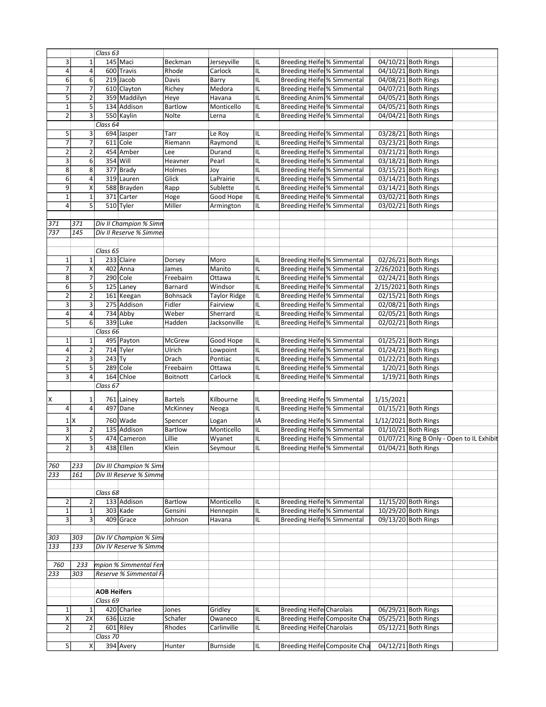|                 |                | Class 63           |                          |                 |                     |    |                                   |                                      |           |                                           |  |
|-----------------|----------------|--------------------|--------------------------|-----------------|---------------------|----|-----------------------------------|--------------------------------------|-----------|-------------------------------------------|--|
| 3               | $\mathbf{1}$   |                    | 145 Maci                 | Beckman         | Jerseyville         | IL | Breeding Heife % Simmental        |                                      |           | 04/10/21 Both Rings                       |  |
| 4               | 4              |                    | 600 Travis               | Rhode           | Carlock             | IL | Breeding Heife % Simmental        |                                      |           | 04/10/21 Both Rings                       |  |
| $6\overline{6}$ | $\sqrt{6}$     |                    | $219$ Jacob              | Davis           | Barry               | IL | <b>Breeding Heife % Simmental</b> |                                      |           | 04/08/21 Both Rings                       |  |
| 7               | 7              |                    | 610 Clayton              | Richey          | Medora              | IL | Breeding Heife % Simmental        |                                      |           | 04/07/21 Both Rings                       |  |
| 5               | $\overline{2}$ |                    | 359 Maddilyn             | Heye            | Havana              | IL | Breeding Anim % Simmental         |                                      |           | 04/05/21 Both Rings                       |  |
| $\mathbf{1}$    | 5              |                    | 134 Addison              | <b>Bartlow</b>  | Monticello          | IL | Breeding Heife % Simmental        |                                      |           | 04/05/21 Both Rings                       |  |
| $\overline{2}$  | 3              |                    | 550 Kaylin               | Nolte           | Lerna               | IL | Breeding Heife % Simmental        |                                      |           | 04/04/21 Both Rings                       |  |
|                 |                | Class 64           |                          |                 |                     |    |                                   |                                      |           |                                           |  |
| 5               | 3              |                    |                          | Tarr            |                     |    | Breeding Heife % Simmental        |                                      |           |                                           |  |
| $\overline{7}$  | $\overline{7}$ |                    | 694 Jasper<br>$611$ Cole |                 | Le Roy              | IL | Breeding Heife % Simmental        |                                      |           | 03/28/21 Both Rings                       |  |
|                 |                |                    |                          | Riemann         | Raymond             | IL |                                   |                                      |           | 03/23/21 Both Rings                       |  |
| $\overline{2}$  | $\overline{2}$ |                    | 454 Amber                | Lee             | Durand              | IL | <b>Breeding Heife % Simmental</b> |                                      |           | 03/21/21 Both Rings                       |  |
| 3               | 6              |                    | 354 Will                 | Heavner         | Pearl               | IL | <b>Breeding Heife % Simmental</b> |                                      |           | 03/18/21 Both Rings                       |  |
| 8               | 8              |                    | 377 Brady                | Holmes          | Joy                 | IL | Breeding Heife % Simmental        |                                      |           | 03/15/21 Both Rings                       |  |
| 6               | 4              |                    | 319 Lauren               | Glick           | LaPrairie           | IL | <b>Breeding Heife % Simmental</b> |                                      |           | 03/14/21 Both Rings                       |  |
| 9               | Χ              |                    | 588 Brayden              | Rapp            | Sublette            | IL | Breeding Heife % Simmental        |                                      |           | 03/14/21 Both Rings                       |  |
| $\mathbf{1}$    | $\mathbf 1$    |                    | 371 Carter               | Hoge            | Good Hope           | IL | Breeding Heife % Simmental        |                                      |           | 03/02/21 Both Rings                       |  |
| 4               | 5 <sup>1</sup> |                    | 510 Tyler                | Miller          | Armington           | IL | <b>Breeding Heife % Simmental</b> |                                      |           | 03/02/21 Both Rings                       |  |
|                 |                |                    |                          |                 |                     |    |                                   |                                      |           |                                           |  |
| 371             | 371            |                    | Div II Champion % Simn   |                 |                     |    |                                   |                                      |           |                                           |  |
| 737             | 145            |                    | Div II Reserve % Simmel  |                 |                     |    |                                   |                                      |           |                                           |  |
|                 |                |                    |                          |                 |                     |    |                                   |                                      |           |                                           |  |
|                 |                |                    |                          |                 |                     |    |                                   |                                      |           |                                           |  |
|                 |                | Class 65           |                          |                 |                     |    |                                   |                                      |           |                                           |  |
| $\mathbf{1}$    | $\mathbf{1}$   |                    | 233 Claire               | Dorsey          | Moro                | IL | Breeding Heife % Simmental        |                                      |           | 02/26/21 Both Rings                       |  |
| 7               | X              |                    | 402 Anna                 | James           | Manito              | IL | Breeding Heife % Simmental        |                                      |           | 2/26/2021 Both Rings                      |  |
| 8               | $\overline{7}$ |                    | $290$ Cole               | Freebairn       | Ottawa              | IL | Breeding Heife % Simmental        |                                      |           | 02/24/21 Both Rings                       |  |
| 6               | 5              |                    | 125 Laney                | Barnard         | Windsor             | IL | Breeding Heife % Simmental        |                                      |           | 2/15/2021 Both Rings                      |  |
| $\overline{2}$  | $\mathbf 2$    |                    | 161 Keegan               | <b>Bohnsack</b> | <b>Taylor Ridge</b> | IL | Breeding Heife % Simmental        |                                      |           | 02/15/21 Both Rings                       |  |
| 3               | $\overline{3}$ |                    | 275 Addison              | Fidler          | Fairview            | IL | Breeding Heife % Simmental        |                                      |           | 02/08/21 Both Rings                       |  |
| 4               | $\overline{4}$ |                    | 734 Abby                 | Weber           | Sherrard            | IL | Breeding Heife % Simmental        |                                      |           | 02/05/21 Both Rings                       |  |
| 5               | $6 \mid$       |                    | 339 Luke                 | Hadden          | Jacksonville        | IL | Breeding Heife % Simmental        |                                      |           | 02/02/21 Both Rings                       |  |
|                 |                | Class 66           |                          |                 |                     |    |                                   |                                      |           |                                           |  |
| $\mathbf{1}$    | $\mathbf{1}$   |                    | 495 Payton               | <b>McGrew</b>   | Good Hope           | IL | Breeding Heife % Simmental        |                                      |           | $01/25/21$ Both Rings                     |  |
| 4               |                |                    |                          |                 |                     |    |                                   |                                      |           |                                           |  |
|                 | $\overline{2}$ |                    | 714 Tyler                | Ulrich          | Lowpoint            | IL | Breeding Heife % Simmental        |                                      |           | 01/24/21 Both Rings                       |  |
| $\overline{2}$  | 3              | $243$ Ty           |                          | Drach           | Pontiac             | IL | Breeding Heife % Simmental        |                                      |           | 01/22/21 Both Rings                       |  |
| $\overline{5}$  | $\overline{5}$ |                    | $289$ Cole               | Freebairn       | Ottawa              | IL | Breeding Heife % Simmental        |                                      |           | $1/20/21$ Both Rings                      |  |
| 3               | 4 <sup>1</sup> |                    | 164 Chloe                | <b>Boitnott</b> | Carlock             | IL | Breeding Heife % Simmental        |                                      |           | $1/19/21$ Both Rings                      |  |
|                 |                | Class 67           |                          |                 |                     |    |                                   |                                      |           |                                           |  |
|                 |                |                    |                          |                 |                     |    |                                   |                                      |           |                                           |  |
| X               | 1              | 761                | Lainey                   | <b>Bartels</b>  | Kilbourne           | IL | Breeding Heife % Simmental        |                                      | 1/15/2021 |                                           |  |
| 4               | 4              | 497                | Dane                     | McKinney        | Neoga               | IL | Breeding Heife % Simmental        |                                      |           | 01/15/21 Both Rings                       |  |
|                 | $1$ $X$        |                    | 760 Wade                 | Spencer         | Logan               | ΙA | Breeding Heife % Simmental        |                                      |           | 1/12/2021 Both Rings                      |  |
| 3               | 2              |                    | 135 Addison              | <b>Bartlow</b>  | Monticello          | IL | <b>Breeding Heife % Simmental</b> |                                      |           | 01/10/21 Both Rings                       |  |
| X               | 5              |                    | 474 Cameron              | Lillie          | Wyanet              | IL | Breeding Heife % Simmental        |                                      |           | 01/07/21 Ring B Only - Open to IL Exhibit |  |
| $\overline{2}$  | $\overline{3}$ |                    | 438 Ellen                | Klein           | Seymour             | ℡  | <b>Breeding Heife % Simmental</b> |                                      |           | 01/04/21 Both Rings                       |  |
|                 |                |                    |                          |                 |                     |    |                                   |                                      |           |                                           |  |
|                 |                |                    |                          |                 |                     |    |                                   |                                      |           |                                           |  |
| 760             | 233            |                    | Div III Champion % Simi  |                 |                     |    |                                   |                                      |           |                                           |  |
| 233             | 161            |                    | Div III Reserve % Simme  |                 |                     |    |                                   |                                      |           |                                           |  |
|                 |                |                    |                          |                 |                     |    |                                   |                                      |           |                                           |  |
|                 |                | Class 68           |                          |                 |                     |    |                                   |                                      |           |                                           |  |
| 2               | 2              |                    | 133 Addison              | <b>Bartlow</b>  | Monticello          | IL | <b>Breeding Heife % Simmental</b> |                                      |           | 11/15/20 Both Rings                       |  |
| $\mathbf 1$     | $\mathbf 1$    |                    | $303$ Kade               | Gensini         | Hennepin            | IL | Breeding Heife % Simmental        |                                      |           | 10/29/20 Both Rings                       |  |
| 3               | 3 <sup>1</sup> |                    | 409 Grace                | Johnson         | Havana              | IL | Breeding Heife % Simmental        |                                      |           | 09/13/20 Both Rings                       |  |
|                 |                |                    |                          |                 |                     |    |                                   |                                      |           |                                           |  |
| 303             | 303            |                    | Div IV Champion % Simi   |                 |                     |    |                                   |                                      |           |                                           |  |
| 133             | 133            |                    | Div IV Reserve % Simme   |                 |                     |    |                                   |                                      |           |                                           |  |
|                 |                |                    |                          |                 |                     |    |                                   |                                      |           |                                           |  |
|                 |                |                    |                          |                 |                     |    |                                   |                                      |           |                                           |  |
| 760             | 233            |                    | mpion % Simmental Fen    |                 |                     |    |                                   |                                      |           |                                           |  |
| 233             | 303            |                    | Reserve % Simmental F    |                 |                     |    |                                   |                                      |           |                                           |  |
|                 |                |                    |                          |                 |                     |    |                                   |                                      |           |                                           |  |
|                 |                | <b>AOB Heifers</b> |                          |                 |                     |    |                                   |                                      |           |                                           |  |
|                 |                | Class 69           |                          |                 |                     |    |                                   |                                      |           |                                           |  |
| $\mathbf{1}$    | $\mathbf{1}$   |                    | 420 Charlee              | Jones           | Gridley             | IL | <b>Breeding Heife Charolais</b>   |                                      |           | 06/29/21 Both Rings                       |  |
| Χ               | 2X             |                    | 636 Lizzie               | Schafer         | Owaneco             | IL |                                   | <b>Breeding Heifel Composite Cha</b> |           | 05/25/21 Both Rings                       |  |
| 2               | $\overline{2}$ |                    | 601 Riley                | Rhodes          | Carlinville         | IL | Breeding Heife Charolais          |                                      |           | 05/12/21 Both Rings                       |  |
|                 |                | Class 70           |                          |                 |                     |    |                                   |                                      |           |                                           |  |
| 5               | X              |                    | 394 Avery                | Hunter          | <b>Burnside</b>     | IL |                                   | <b>Breeding Heifel Composite Cha</b> |           | 04/12/21 Both Rings                       |  |
|                 |                |                    |                          |                 |                     |    |                                   |                                      |           |                                           |  |